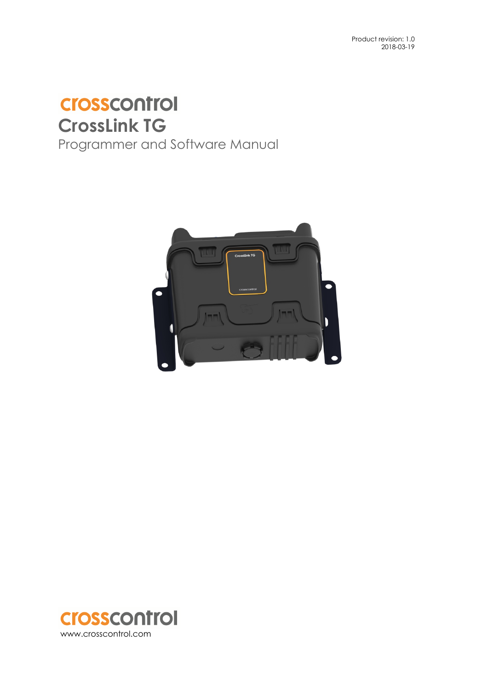# **Crosscontrol CrossLink TG**

Programmer and Software Manual



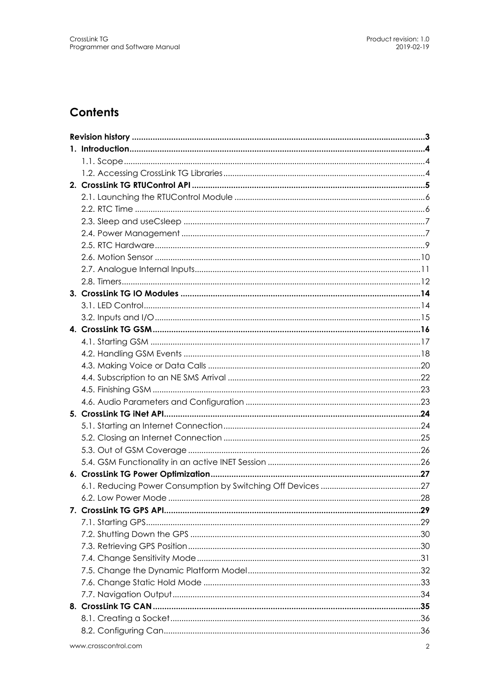## **Contents**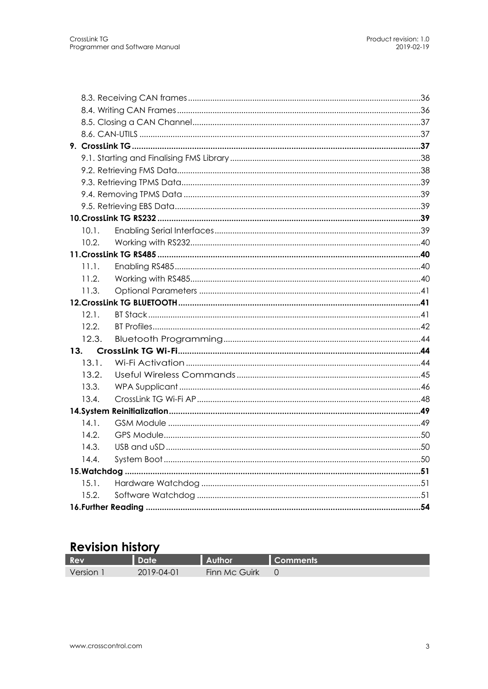| 13.3. |  |
|-------|--|
| 13.2. |  |
| 13.1. |  |
| 13.   |  |
| 12.3. |  |
| 12.2. |  |
| 12.1. |  |
|       |  |
| 11.3. |  |
| 11.2. |  |
| 11.1. |  |
|       |  |
| 10.2. |  |
| 10.1. |  |
|       |  |
|       |  |
|       |  |
|       |  |
|       |  |
|       |  |
|       |  |
|       |  |
|       |  |
|       |  |
|       |  |

## **Revision history**

| Rev     | ate        |               | :omments |
|---------|------------|---------------|----------|
| Version | 2019-04-01 | Finn Mc Guirk |          |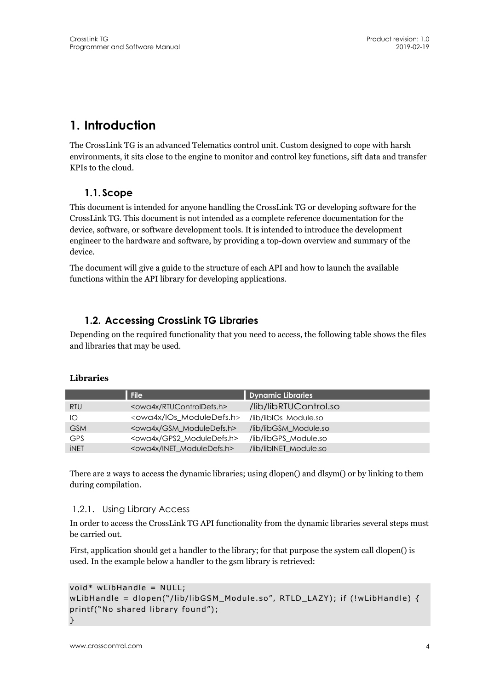## **1. Introduction**

The CrossLink TG is an advanced Telematics control unit. Custom designed to cope with harsh environments, it sits close to the engine to monitor and control key functions, sift data and transfer KPIs to the cloud.

## **1.1. Scope**

This document is intended for anyone handling the CrossLink TG or developing software for the CrossLink TG. This document is not intended as a complete reference documentation for the device, software, or software development tools. It is intended to introduce the development engineer to the hardware and software, by providing a top-down overview and summary of the device.

The document will give a guide to the structure of each API and how to launch the available functions within the API library for developing applications.

## **1.2. Accessing CrossLink TG Libraries**

Depending on the required functionality that you need to access, the following table shows the files and libraries that may be used.

#### **Libraries**

|             | <b>File</b>                             | <b>Dynamic Libraries</b> |
|-------------|-----------------------------------------|--------------------------|
| <b>RTU</b>  | <owa4x rtucontroldefs.h=""></owa4x>     | /lib/libRTUControl.so    |
| IO          | <owa4x ios_moduledefs.h=""></owa4x>     | /lib/libIOs Module.so    |
| <b>GSM</b>  | <owa4x gsm_moduledefs.h=""></owa4x>     | /lib/libGSM_Module.so    |
| <b>GPS</b>  | <owg4x gps2="" moduledefs.h=""></owg4x> | /lib/libGPS Module.so    |
| <b>iNET</b> | <owa4x inet_moduledefs.h=""></owa4x>    | /lib/libINET_Module.so   |

There are 2 ways to access the dynamic libraries; using dlopen() and dlsym() or by linking to them during compilation.

#### 1.2.1. Using Library Access

In order to access the CrossLink TG API functionality from the dynamic libraries several steps must be carried out.

First, application should get a handler to the library; for that purpose the system call dlopen() is used. In the example below a handler to the gsm library is retrieved:

```
void* wLibHandle = NULL; 
wLibHandle = dlopen("/lib/libGSM_Module.so", RTLD_LAZY); if (!wLibHandle) { 
printf("No shared library found"); 
}
```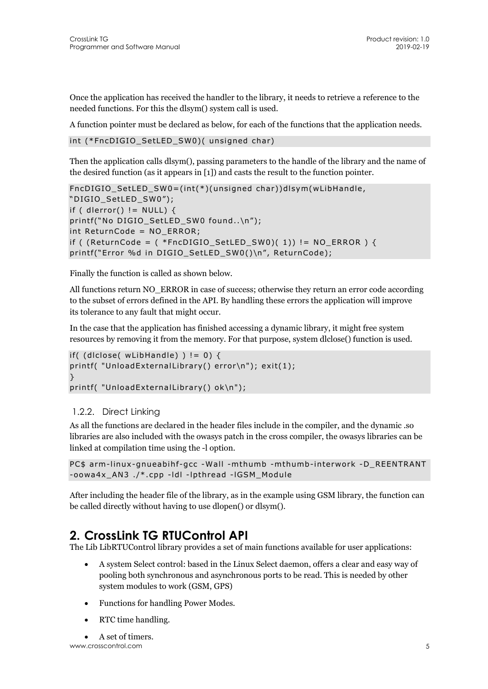Once the application has received the handler to the library, it needs to retrieve a reference to the needed functions. For this the dlsym() system call is used.

A function pointer must be declared as below, for each of the functions that the application needs.

int (\*FncDIGIO\_SetLED\_SW0)( unsigned char)

Then the application calls dlsym(), passing parameters to the handle of the library and the name of the desired function (as it appears in [1]) and casts the result to the function pointer.

```
FncDIGIO_SetLED_SW0=(int(*)(unsigned char))dlsym(wLibHandle, 
"DIGIO_SetLED_SW0"); 
if ( dlerror( ) ! = NULL } {
printf("No DIGIO SetLED SW0 found..\n");
int ReturnCode = NO_ERROR; 
if ( (ReturnCode = ( *FncDIGIO SetLED SW0)( 1)) != NO ERROR ) {
printf("Error %d in DIGIO_SetLED_SW0()\n", ReturnCode);
```
Finally the function is called as shown below.

All functions return NO\_ERROR in case of success; otherwise they return an error code according to the subset of errors defined in the API. By handling these errors the application will improve its tolerance to any fault that might occur.

In the case that the application has finished accessing a dynamic library, it might free system resources by removing it from the memory. For that purpose, system dlclose() function is used.

```
if( (dlclose( wLibHandle) ) != 0) {
printf( "UnloadExternalLibrary() error\n"); exit(1); 
} 
printf( "UnloadExternalLibrary() ok\n");
```
#### 1.2.2. Direct Linking

As all the functions are declared in the header files include in the compiler, and the dynamic .so libraries are also included with the owasys patch in the cross compiler, the owasys libraries can be linked at compilation time using the -l option.

```
PC$ arm-linux-gnueabihf-gcc -Wall -mthumb -mthumb-interwork -D_REENTRANT 
-oowa4x_AN3 ./*.cpp -ldl -lpthread -lGSM_Module
```
After including the header file of the library, as in the example using GSM library, the function can be called directly without having to use dlopen() or dlsym().

## **2. CrossLink TG RTUControl API**

The Lib LibRTUControl library provides a set of main functions available for user applications:

- A system Select control: based in the Linux Select daemon, offers a clear and easy way of pooling both synchronous and asynchronous ports to be read. This is needed by other system modules to work (GSM, GPS)
- Functions for handling Power Modes.
- RTC time handling.

```
 A set of timers.
```
www.crosscontrol.com 5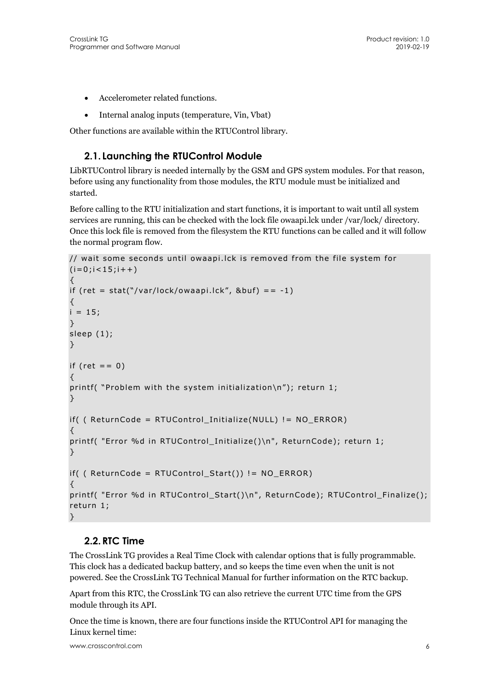- Accelerometer related functions.
- Internal analog inputs (temperature, Vin, Vbat)

Other functions are available within the RTUControl library.

## **2.1. Launching the RTUControl Module**

LibRTUControl library is needed internally by the GSM and GPS system modules. For that reason, before using any functionality from those modules, the RTU module must be initialized and started.

Before calling to the RTU initialization and start functions, it is important to wait until all system services are running, this can be checked with the lock file owaapi.lck under /var/lock/ directory. Once this lock file is removed from the filesystem the RTU functions can be called and it will follow the normal program flow.

```
// wait some seconds until owaapi.lck is removed from the file system for 
(i=0; i<15; i++){ 
if (ret = stat("/var/lock/owaapi.lck", &but) == -1)
{ 
i = 15;
} 
sleep (1); 
} 
if (ret == 0)
{ 
printf( "Problem with the system initialization\n"); return 1; 
} 
if( ( ReturnCode = RTUControl_Initialize(NULL) != NO_ERROR) 
{ 
printf( "Error %d in RTUControl Initialize()\n", ReturnCode); return 1;
} 
if( ( ReturnCode = RTUControl_Start()) != NO_ERROR) 
{ 
printf( "Error %d in RTUControl_Start()\n", ReturnCode); RTUControl_Finalize(); 
return 1; 
}
```
## **2.2.RTC Time**

The CrossLink TG provides a Real Time Clock with calendar options that is fully programmable. This clock has a dedicated backup battery, and so keeps the time even when the unit is not powered. See the CrossLink TG Technical Manual for further information on the RTC backup.

Apart from this RTC, the CrossLink TG can also retrieve the current UTC time from the GPS module through its API.

Once the time is known, there are four functions inside the RTUControl API for managing the Linux kernel time: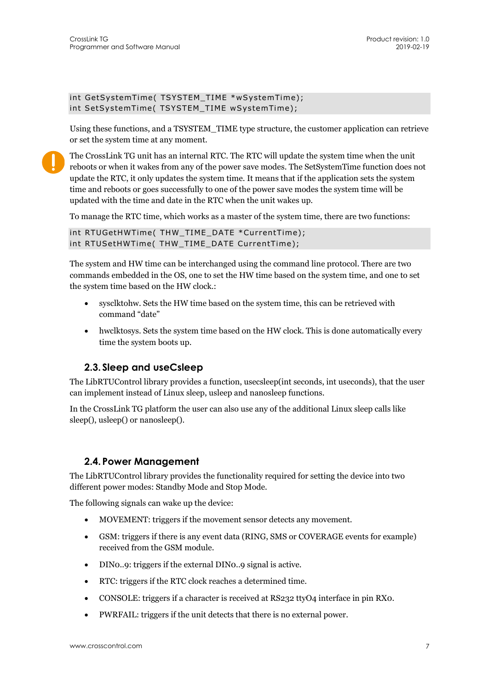```
int GetSystemTime( TSYSTEM_TIME *wSystemTime); 
int SetSystemTime( TSYSTEM_TIME wSystemTime);
```
Using these functions, and a TSYSTEM\_TIME type structure, the customer application can retrieve or set the system time at any moment.

The CrossLink TG unit has an internal RTC. The RTC will update the system time when the unit reboots or when it wakes from any of the power save modes. The SetSystemTime function does not update the RTC, it only updates the system time. It means that if the application sets the system time and reboots or goes successfully to one of the power save modes the system time will be updated with the time and date in the RTC when the unit wakes up.

To manage the RTC time, which works as a master of the system time, there are two functions:

```
int RTUGetHWTime( THW_TIME_DATE *CurrentTime); 
int RTUSetHWTime( THW_TIME_DATE CurrentTime);
```
The system and HW time can be interchanged using the command line protocol. There are two commands embedded in the OS, one to set the HW time based on the system time, and one to set the system time based on the HW clock.:

- sysclktohw. Sets the HW time based on the system time, this can be retrieved with command "date"
- hwclktosys. Sets the system time based on the HW clock. This is done automatically every time the system boots up.

#### **2.3. Sleep and useCsleep**

The LibRTUControl library provides a function, usecsleep(int seconds, int useconds), that the user can implement instead of Linux sleep, usleep and nanosleep functions.

In the CrossLink TG platform the user can also use any of the additional Linux sleep calls like sleep(), usleep() or nanosleep().

#### **2.4. Power Management**

The LibRTUControl library provides the functionality required for setting the device into two different power modes: Standby Mode and Stop Mode.

The following signals can wake up the device:

- MOVEMENT: triggers if the movement sensor detects any movement.
- GSM: triggers if there is any event data (RING, SMS or COVERAGE events for example) received from the GSM module.
- DIN0..9: triggers if the external DIN0..9 signal is active.
- RTC: triggers if the RTC clock reaches a determined time.
- CONSOLE: triggers if a character is received at RS232 ttyO4 interface in pin RX0.
- PWRFAIL: triggers if the unit detects that there is no external power.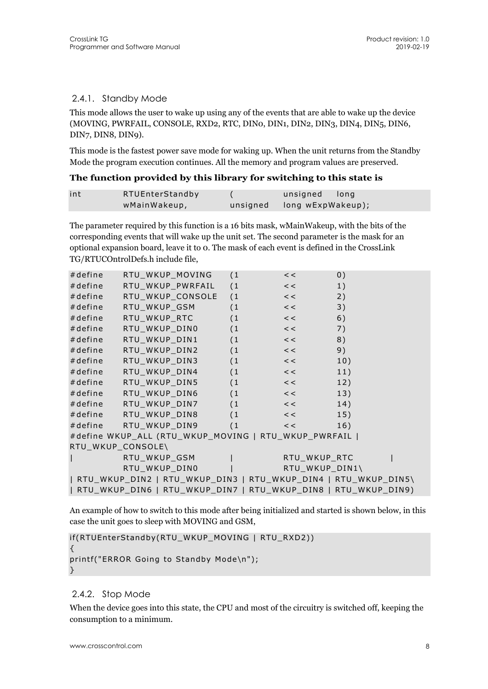#### 2.4.1. Standby Mode

This mode allows the user to wake up using any of the events that are able to wake up the device (MOVING, PWRFAIL, CONSOLE, RXD2, RTC, DIN0, DIN1, DIN2, DIN3, DIN4, DIN5, DIN6, DIN7, DIN8, DIN9).

This mode is the fastest power save mode for waking up. When the unit returns from the Standby Mode the program execution continues. All the memory and program values are preserved.

#### **The function provided by this library for switching to this state is**

| int | RTUEnterStandby | unsigned long              |
|-----|-----------------|----------------------------|
|     | wMainWakeup,    | unsigned long wExpWakeup); |

The parameter required by this function is a 16 bits mask, wMainWakeup, with the bits of the corresponding events that will wake up the unit set. The second parameter is the mask for an optional expansion board, leave it to 0. The mask of each event is defined in the CrossLink TG/RTUCOntrolDefs.h include file,

| #define           | RTU_WKUP_MOVING (1                                             |    | <<                                                                    | 0)  |
|-------------------|----------------------------------------------------------------|----|-----------------------------------------------------------------------|-----|
| #define           | RTU_WKUP_PWRFAIL (1                                            |    | <<                                                                    | 1)  |
| #define           | RTU_WKUP_CONSOLE (1                                            |    | $\prec$ $\prec$                                                       | 2)  |
| #define           | RTU_WKUP_GSM (1                                                |    | $\left\langle \cdot \right\rangle$ $\left\langle \cdot \right\rangle$ | 3)  |
| #define           | RTU_WKUP_RTC                                                   | (1 | $\langle \langle \rangle \rangle$                                     | 6)  |
| #define           | RTU_WKUP_DINO                                                  | (1 | <<                                                                    | 7)  |
| #define           | RTU_WKUP_DIN1 (1                                               |    | <<                                                                    | 8)  |
| #define           | RTU_WKUP_DIN2 (1 <<                                            |    |                                                                       | 9)  |
| #define           | RTU_WKUP_DIN3 (1                                               |    | $\prec$ $\prec$ $\sim$                                                | 10) |
| #define           | RTU_WKUP_DIN4 (1                                               |    | $\prec$ $\prec$ $\prec$                                               | 11) |
| #define           | RTU_WKUP_DIN5    (1     <<                                     |    |                                                                       | 12) |
|                   | #define RTU_WKUP_DIN6 (1 << 1                                  |    |                                                                       | 13) |
|                   | #define RTU_WKUP_DIN7 (1                                       |    | $\prec$ $\prec$ $\sim$                                                | 14) |
|                   | #define RTU_WKUP_DIN8 (1                                       |    | $\prec$ $\prec$ $\sim$                                                | 15) |
|                   | #define RTU_WKUP_DIN9 (1                                       |    | <<                                                                    | 16) |
|                   | #define WKUP_ALL (RTU_WKUP_MOVING   RTU_WKUP_PWRFAIL           |    |                                                                       |     |
| RTU_WKUP_CONSOLE\ |                                                                |    |                                                                       |     |
| $\mathbf{I}$      | RTU_WKUP_GSM                                                   |    | RTU_WKUP_RTC                                                          |     |
|                   | RTU_WKUP_DINO                                                  |    | RTU_WKUP_DIN1\                                                        |     |
|                   | RTU_WKUP_DIN2   RTU_WKUP_DIN3   RTU_WKUP_DIN4   RTU_WKUP_DIN5\ |    |                                                                       |     |
|                   | RTU_WKUP_DIN6   RTU_WKUP_DIN7   RTU_WKUP_DIN8   RTU_WKUP_DIN9) |    |                                                                       |     |

An example of how to switch to this mode after being initialized and started is shown below, in this case the unit goes to sleep with MOVING and GSM,

```
if(RTUEnterStandby(RTU_WKUP_MOVING | RTU_RXD2)) 
{ 
printf("ERROR Going to Standby Mode\n"); 
}
```
#### 2.4.2. Stop Mode

When the device goes into this state, the CPU and most of the circuitry is switched off, keeping the consumption to a minimum.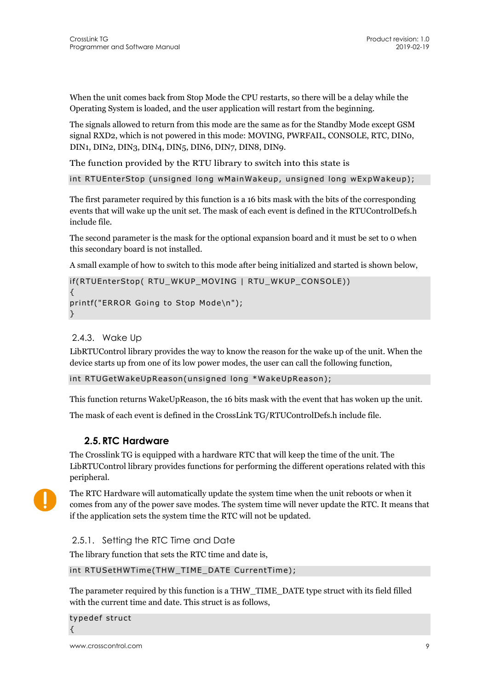When the unit comes back from Stop Mode the CPU restarts, so there will be a delay while the Operating System is loaded, and the user application will restart from the beginning.

The signals allowed to return from this mode are the same as for the Standby Mode except GSM signal RXD2, which is not powered in this mode: MOVING, PWRFAIL, CONSOLE, RTC, DIN0, DIN1, DIN2, DIN3, DIN4, DIN5, DIN6, DIN7, DIN8, DIN9.

The function provided by the RTU library to switch into this state is

```
int RTUEnterStop (unsigned long wMainWakeup, unsigned long wExpWakeup);
```
The first parameter required by this function is a 16 bits mask with the bits of the corresponding events that will wake up the unit set. The mask of each event is defined in the RTUControlDefs.h include file.

The second parameter is the mask for the optional expansion board and it must be set to 0 when this secondary board is not installed.

A small example of how to switch to this mode after being initialized and started is shown below,

```
if(RTUEnterStop( RTU_WKUP_MOVING | RTU_WKUP_CONSOLE)) 
{ 
printf("ERROR Going to Stop Mode\n"); 
}
```
#### 2.4.3. Wake Up

LibRTUControl library provides the way to know the reason for the wake up of the unit. When the device starts up from one of its low power modes, the user can call the following function,

int RTUGetWakeUpReason(unsigned long \*WakeUpReason);

This function returns WakeUpReason, the 16 bits mask with the event that has woken up the unit.

The mask of each event is defined in the CrossLink TG/RTUControlDefs.h include file.

#### **2.5.RTC Hardware**

The Crosslink TG is equipped with a hardware RTC that will keep the time of the unit. The LibRTUControl library provides functions for performing the different operations related with this peripheral.



The RTC Hardware will automatically update the system time when the unit reboots or when it comes from any of the power save modes. The system time will never update the RTC. It means that if the application sets the system time the RTC will not be updated.

2.5.1. Setting the RTC Time and Date

The library function that sets the RTC time and date is,

int RTUSetHWTime(THW\_TIME\_DATE CurrentTime);

The parameter required by this function is a THW\_TIME\_DATE type struct with its field filled with the current time and date. This struct is as follows,

typedef struct {

www.crosscontrol.com 9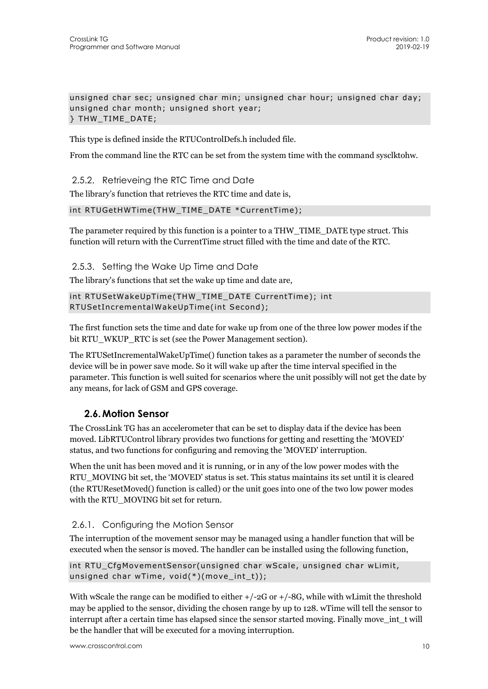unsigned char sec; unsigned char min; unsigned char hour; unsigned char day; unsigned char month; unsigned short year; } THW\_TIME\_DATE;

This type is defined inside the RTUControlDefs.h included file.

From the command line the RTC can be set from the system time with the command sysclktohw.

2.5.2. Retrieveing the RTC Time and Date

The library's function that retrieves the RTC time and date is,

#### int RTUGetHWTime(THW\_TIME\_DATE \*CurrentTime);

The parameter required by this function is a pointer to a THW\_TIME\_DATE type struct. This function will return with the CurrentTime struct filled with the time and date of the RTC.

2.5.3. Setting the Wake Up Time and Date

The library's functions that set the wake up time and date are,

int RTUSetWakeUpTime(THW\_TIME\_DATE CurrentTime); int RTUSetIncrementalWakeUpTime(int Second);

The first function sets the time and date for wake up from one of the three low power modes if the bit RTU\_WKUP\_RTC is set (see the Power Management section).

The RTUSetIncrementalWakeUpTime() function takes as a parameter the number of seconds the device will be in power save mode. So it will wake up after the time interval specified in the parameter. This function is well suited for scenarios where the unit possibly will not get the date by any means, for lack of GSM and GPS coverage.

#### **2.6.Motion Sensor**

The CrossLink TG has an accelerometer that can be set to display data if the device has been moved. LibRTUControl library provides two functions for getting and resetting the 'MOVED' status, and two functions for configuring and removing the 'MOVED' interruption.

When the unit has been moved and it is running, or in any of the low power modes with the RTU\_MOVING bit set, the 'MOVED' status is set. This status maintains its set until it is cleared (the RTUResetMoved() function is called) or the unit goes into one of the two low power modes with the RTU MOVING bit set for return.

#### 2.6.1. Configuring the Motion Sensor

The interruption of the movement sensor may be managed using a handler function that will be executed when the sensor is moved. The handler can be installed using the following function,

```
int RTU_CfgMovementSensor(unsigned char wScale, unsigned char wLimit, 
unsigned char wTime, void(*)(move_int_t));
```
With wScale the range can be modified to either  $+/-2G$  or  $+/-8G$ , while with wLimit the threshold may be applied to the sensor, dividing the chosen range by up to 128. wTime will tell the sensor to interrupt after a certain time has elapsed since the sensor started moving. Finally move\_int\_t will be the handler that will be executed for a moving interruption.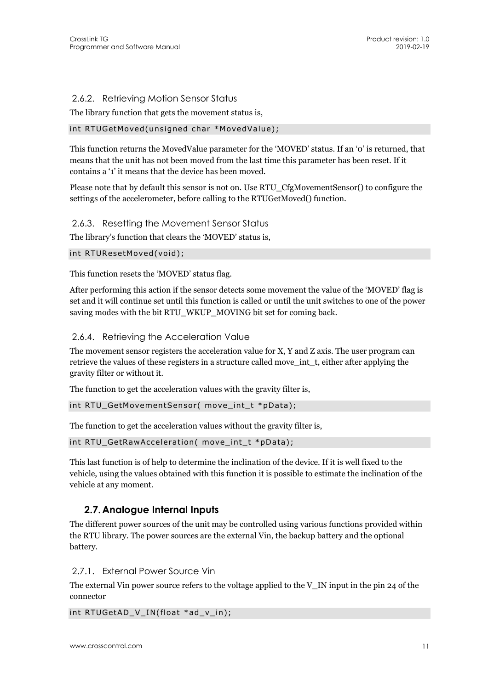#### 2.6.2. Retrieving Motion Sensor Status

The library function that gets the movement status is,

#### int RTUGetMoved(unsigned char \*MovedValue);

This function returns the MovedValue parameter for the 'MOVED' status. If an '0' is returned, that means that the unit has not been moved from the last time this parameter has been reset. If it contains a '1' it means that the device has been moved.

Please note that by default this sensor is not on. Use RTU\_CfgMovementSensor() to configure the settings of the accelerometer, before calling to the RTUGetMoved() function.

2.6.3. Resetting the Movement Sensor Status

The library's function that clears the 'MOVED' status is,

```
int RTUResetMoved(void);
```
This function resets the 'MOVED' status flag.

After performing this action if the sensor detects some movement the value of the 'MOVED' flag is set and it will continue set until this function is called or until the unit switches to one of the power saving modes with the bit RTU\_WKUP\_MOVING bit set for coming back.

2.6.4. Retrieving the Acceleration Value

The movement sensor registers the acceleration value for X, Y and Z axis. The user program can retrieve the values of these registers in a structure called move\_int\_t, either after applying the gravity filter or without it.

The function to get the acceleration values with the gravity filter is,

```
int RTU_GetMovementSensor( move_int_t *pData);
```
The function to get the acceleration values without the gravity filter is,

int RTU\_GetRawAcceleration( move\_int\_t \*pData);

This last function is of help to determine the inclination of the device. If it is well fixed to the vehicle, using the values obtained with this function it is possible to estimate the inclination of the vehicle at any moment.

#### **2.7.Analogue Internal Inputs**

The different power sources of the unit may be controlled using various functions provided within the RTU library. The power sources are the external Vin, the backup battery and the optional battery.

2.7.1. External Power Source Vin

The external Vin power source refers to the voltage applied to the V $\,$ IN input in the pin 24 of the connector

int RTUGetAD\_V\_IN(float \*ad\_v\_in);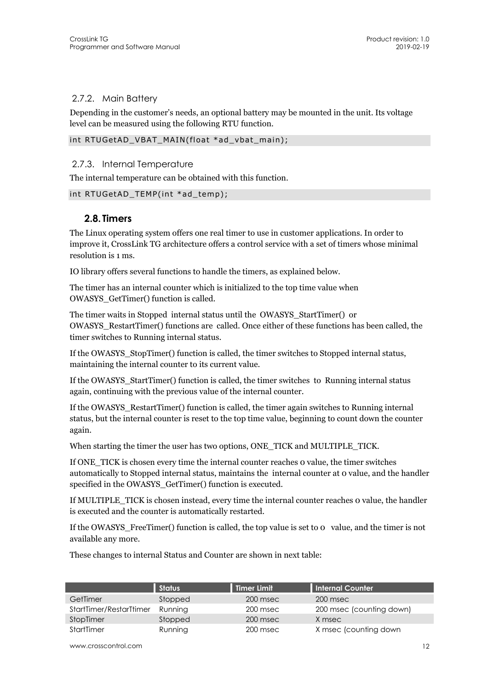#### 2.7.2. Main Battery

Depending in the customer's needs, an optional battery may be mounted in the unit. Its voltage level can be measured using the following RTU function.

int RTUGetAD\_VBAT\_MAIN(float \*ad\_vbat\_main);

#### 2.7.3. Internal Temperature

The internal temperature can be obtained with this function.

```
int RTUGetAD_TEMP(int *ad_temp);
```
#### **2.8. Timers**

The Linux operating system offers one real timer to use in customer applications. In order to improve it, CrossLink TG architecture offers a control service with a set of timers whose minimal resolution is 1 ms.

IO library offers several functions to handle the timers, as explained below.

The timer has an internal counter which is initialized to the top time value when OWASYS\_GetTimer() function is called.

The timer waits in Stopped internal status until the OWASYS\_StartTimer() or OWASYS\_RestartTimer() functions are called. Once either of these functions has been called, the timer switches to Running internal status.

If the OWASYS\_StopTimer() function is called, the timer switches to Stopped internal status, maintaining the internal counter to its current value.

If the OWASYS\_StartTimer() function is called, the timer switches to Running internal status again, continuing with the previous value of the internal counter.

If the OWASYS\_RestartTimer() function is called, the timer again switches to Running internal status, but the internal counter is reset to the top time value, beginning to count down the counter again.

When starting the timer the user has two options, ONE\_TICK and MULTIPLE\_TICK.

If ONE\_TICK is chosen every time the internal counter reaches 0 value, the timer switches automatically to Stopped internal status, maintains the internal counter at 0 value, and the handler specified in the OWASYS GetTimer() function is executed.

If MULTIPLE\_TICK is chosen instead, every time the internal counter reaches 0 value, the handler is executed and the counter is automatically restarted.

If the OWASYS\_FreeTimer() function is called, the top value is set to 0 value, and the timer is not available any more.

These changes to internal Status and Counter are shown in next table:

|                         | <b>Status</b> | Timer Limit | Internal Counter         |
|-------------------------|---------------|-------------|--------------------------|
| GetTimer                | Stopped       | 200 msec    | 200 msec                 |
| StartTimer/RestarTtimer | Running       | 200 msec    | 200 msec (counting down) |
| StopTimer               | Stopped       | 200 msec    | X msec                   |
| StartTimer              | Running       | 200 msec    | X msec (counting down    |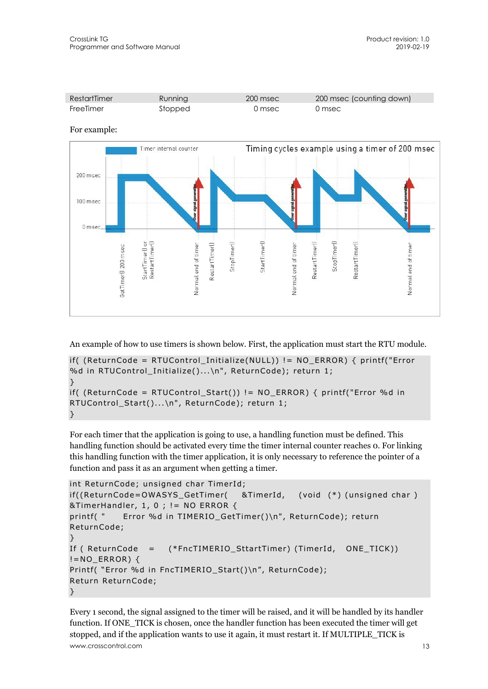

For example:



An example of how to use timers is shown below. First, the application must start the RTU module.

```
if( (ReturnCode = RTUControl_Initialize(NULL)) != NO_ERROR) { printf("Error 
%d in RTUControl_Initialize()...\n", ReturnCode); return 1; 
} 
if( (ReturnCode = RTUControl Start()) != NO ERROR) { printf("Error %d in
RTUControl_Start()...\n", ReturnCode); return 1; 
}
```
For each timer that the application is going to use, a handling function must be defined. This handling function should be activated every time the timer internal counter reaches 0. For linking this handling function with the timer application, it is only necessary to reference the pointer of a function and pass it as an argument when getting a timer.

```
int ReturnCode; unsigned char TimerId; 
if((ReturnCode=OWASYS_GetTimer( &TimerId, (void (*) (unsigned char ) 
&TimerHandler, 1, 0 ; != NO ERROR { 
printf( " Error %d in TIMERIO_GetTimer()\n", ReturnCode); return 
ReturnCode; 
} 
If ( ReturnCode = (*FncTIMERIO_SttartTimer) (TimerId, ONE_TICK)) 
!=NO_ERROR) \{Printf( "Error %d in FncTIMERIO_Start()\n", ReturnCode);
Return ReturnCode; 
}
```
www.crosscontrol.com 13 Every 1 second, the signal assigned to the timer will be raised, and it will be handled by its handler function. If ONE\_TICK is chosen, once the handler function has been executed the timer will get stopped, and if the application wants to use it again, it must restart it. If MULTIPLE\_TICK is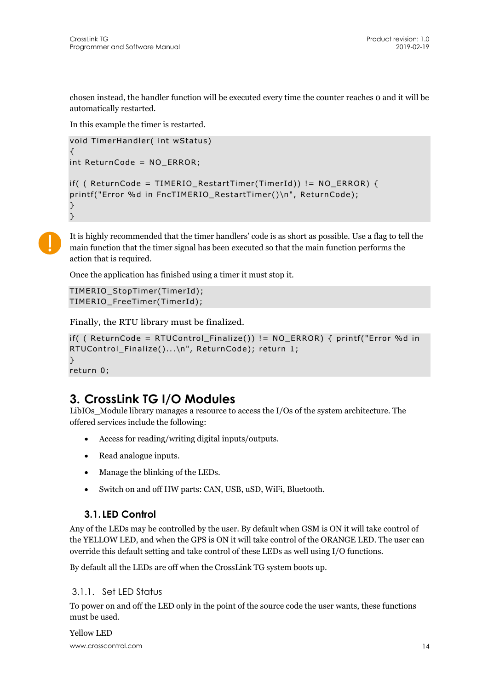chosen instead, the handler function will be executed every time the counter reaches 0 and it will be automatically restarted.

In this example the timer is restarted.

```
void TimerHandler( int wStatus) 
{ 
int ReturnCode = NO_ERROR; 
if( ( ReturnCode = TIMERIO_RestartTimer(TimerId) ) != NO_ERROR {
printf("Error %d in FncTIMERIO RestartTimer()\n", ReturnCode);
} 
}
```


It is highly recommended that the timer handlers' code is as short as possible. Use a flag to tell the main function that the timer signal has been executed so that the main function performs the action that is required.

Once the application has finished using a timer it must stop it.

```
TIMERIO_StopTimer(TimerId); 
TIMERIO_FreeTimer(TimerId);
```
Finally, the RTU library must be finalized.

```
if( ( ReturnCode = RTUControl_Finalize()) != NO_ERROR) { printf("Error %d in 
RTUControl Finalize()...\n", ReturnCode); return 1;
}
```
return 0;

## **3. CrossLink TG I/O Modules**

LibIOs\_Module library manages a resource to access the I/Os of the system architecture. The offered services include the following:

- Access for reading/writing digital inputs/outputs.
- Read analogue inputs.
- Manage the blinking of the LEDs.
- Switch on and off HW parts: CAN, USB, uSD, WiFi, Bluetooth.

### **3.1. LED Control**

Any of the LEDs may be controlled by the user. By default when GSM is ON it will take control of the YELLOW LED, and when the GPS is ON it will take control of the ORANGE LED. The user can override this default setting and take control of these LEDs as well using I/O functions.

By default all the LEDs are off when the CrossLink TG system boots up.

#### 3.1.1. Set LED Status

To power on and off the LED only in the point of the source code the user wants, these functions must be used.

www.crosscontrol.com 14 Yellow LED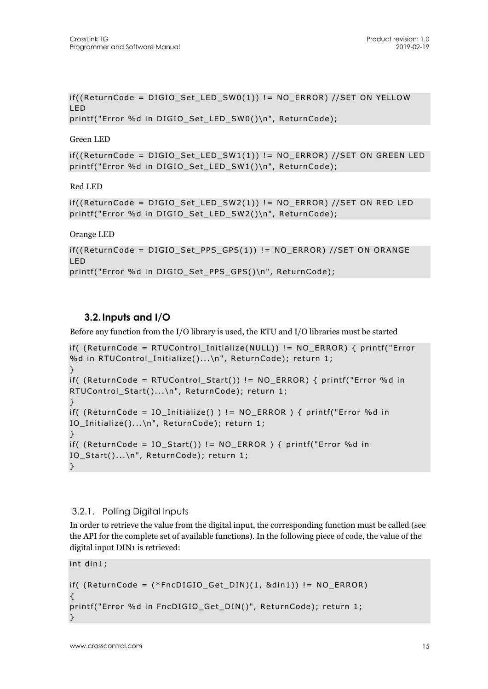```
if((ReturnCode = DIGIOSet LEDSW0(1)) != NO ERROR) //SET ON YELLOWLED 
printf("Error %d in DIGIO Set LED SW0()\n", ReturnCode);
```
Green LED

if((ReturnCode = DIGIO\_Set\_LED\_SW1(1)) != NO\_ERROR) //SET ON GREEN LED printf("Error %d in DIGIO Set LED SW1()\n", ReturnCode);

Red LED

```
if((ReturnCode = DIGIO_Set_LED_SW2(1)) != NO_ERROR) //SET ON RED LED 
printf("Error %d in DIGIO_Set_LED_SW2()\n", ReturnCode);
```
Orange LED

```
if((ReturnCode = DIGIOSet PPS GPS(1)) != NO ERROR) // SET ON ORANGELED 
printf("Error %d in DIGIO_Set_PPS_GPS()\n", ReturnCode);
```
### **3.2. Inputs and I/O**

Before any function from the I/O library is used, the RTU and I/O libraries must be started

```
if( (ReturnCode = RTUControl_Initialize(NULL)) != NO_ERROR) { printf("Error 
%d in RTUControl_Initialize()...\n", ReturnCode); return 1; 
} 
if( (ReturnCode = RTUControl_Start()) != NO_ERROR) { printf("Error %d in 
RTUControl_Start()...\n", ReturnCode); return 1; 
} 
if( (ReturnCode = IO_Initialize() ) != NO_ERROR ) { printf("Error %d in 
IO_Initialize()...\n", ReturnCode); return 1; 
} 
if( (ReturnCode = IO_Start()) != NO_ ERROR ) { printf("Error %d in
IO_Start()...\n", ReturnCode); return 1; 
}
```
#### 3.2.1. Polling Digital Inputs

In order to retrieve the value from the digital input, the corresponding function must be called (see the API for the complete set of available functions). In the following piece of code, the value of the digital input DIN1 is retrieved:

int din1;

```
if( (ReturnCode = (*FncDIGIO_Get_DIN)(1, &din1)) != NO_ERROR) 
{ 
printf("Error %d in FncDIGIO_Get_DIN()", ReturnCode); return 1; 
}
```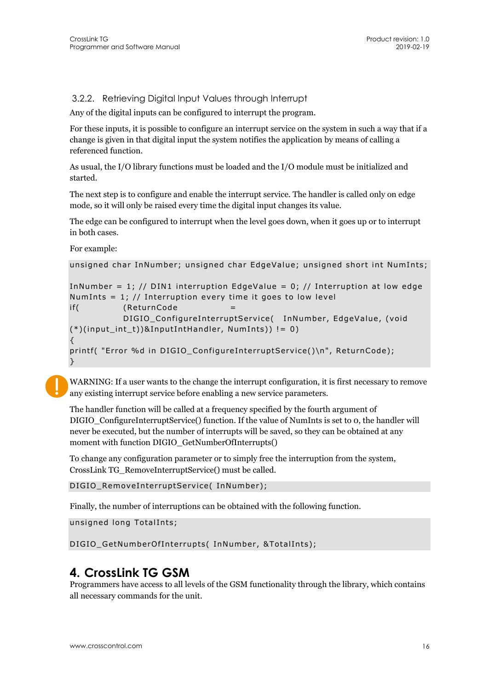3.2.2. Retrieving Digital Input Values through Interrupt

Any of the digital inputs can be configured to interrupt the program.

For these inputs, it is possible to configure an interrupt service on the system in such a way that if a change is given in that digital input the system notifies the application by means of calling a referenced function.

As usual, the I/O library functions must be loaded and the I/O module must be initialized and started.

The next step is to configure and enable the interrupt service. The handler is called only on edge mode, so it will only be raised every time the digital input changes its value.

The edge can be configured to interrupt when the level goes down, when it goes up or to interrupt in both cases.

For example:

```
unsigned char InNumber; unsigned char EdgeValue; unsigned short int NumInts;
```

```
InNumber = 1; // DIN1 interruption EdgeValue = 0; // Interruption at low edge
NumInts = 1; // Interruption every time it goes to low level
if(
(ReturnCode
           DIGIO ConfigureInterruptService( InNumber, EdgeValue, (void
(*)(input_int_t))&InputIntHandler, NumInts)) != 0) 
{ 
printf( "Error %d in DIGIO_ConfigureInterruptService()\n", ReturnCode); 
}
```
WARNING: If a user wants to the change the interrupt configuration, it is first necessary to remove any existing interrupt service before enabling a new service parameters.

The handler function will be called at a frequency specified by the fourth argument of DIGIO\_ConfigureInterruptService() function. If the value of NumInts is set to 0, the handler will never be executed, but the number of interrupts will be saved, so they can be obtained at any moment with function DIGIO\_GetNumberOfInterrupts()

To change any configuration parameter or to simply free the interruption from the system, CrossLink TG\_RemoveInterruptService() must be called.

DIGIO\_RemoveInterruptService( InNumber);

Finally, the number of interruptions can be obtained with the following function.

unsigned long TotalInts;

DIGIO GetNumberOfInterrupts( InNumber, &TotalInts);

## **4. CrossLink TG GSM**

Programmers have access to all levels of the GSM functionality through the library, which contains all necessary commands for the unit.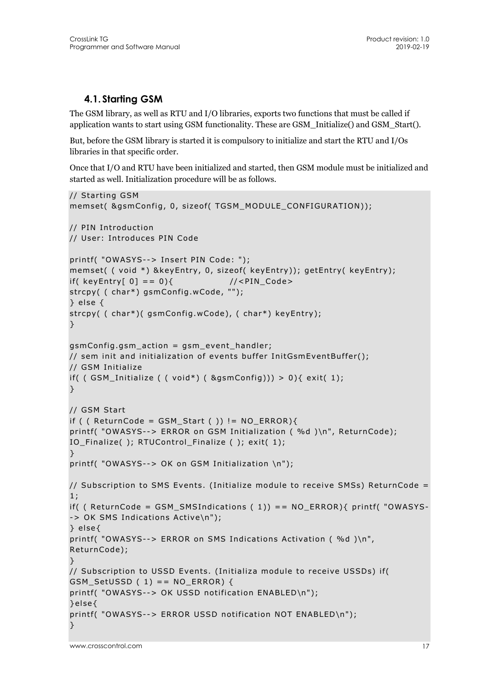## **4.1. Starting GSM**

The GSM library, as well as RTU and I/O libraries, exports two functions that must be called if application wants to start using GSM functionality. These are GSM\_Initialize() and GSM\_Start().

But, before the GSM library is started it is compulsory to initialize and start the RTU and I/Os libraries in that specific order.

Once that I/O and RTU have been initialized and started, then GSM module must be initialized and started as well. Initialization procedure will be as follows.

```
// Starting GSM 
memset( &gsmConfig, 0, sizeof( TGSM_MODULE_CONFIGURATION)); 
// PIN Introduction 
// User: Introduces PIN Code 
printf( "OWASYS--> Insert PIN Code: "); 
memset( ( void *) &keyEntry, 0, sizeof( keyEntry)); getEntry( keyEntry); 
if( keyEntry[ 0] == 0){ //<PIN_Code>
strcpy( ( char*) gsmConfig.wCode, ""); 
} else { 
strcpy( ( char*)( gsmConfig.wCode), ( char*) keyEntry); 
} 
gsmConfig.gsm_action = gsm_event_handler; 
// sem init and initialization of events buffer InitGsmEventBuffer(); 
// GSM Initialize 
if( (SSM_Initialize ( void*) ( \&gsmConfig)) > 0){ exit( 1);
} 
// GSM Start 
if ( ( ReturnCode = GSM_Start ( ) ) != NO_ERROR){printf( "OWASYS--> ERROR on GSM Initialization ( %d )\n", ReturnCode); 
IO Finalize( ); RTUControl Finalize ( ); exit( 1);
} 
printf( "OWASYS--> OK on GSM Initialization \n"); 
// Subscription to SMS Events. (Initialize module to receive SMSs) ReturnCode = 
1; 
if( ( ReturnCode = GSM_SMSIndications ( 1)) == NO_ERROR){ printf( "OWASYS-
-> OK SMS Indications Active\n"); 
} else{ 
printf( "OWASYS--> ERROR on SMS Indications Activation ( %d )\n", 
ReturnCode); 
} 
// Subscription to USSD Events. (Initializa module to receive USSDs) if( 
GSM_SetUSSD ( 1) == NO_ERROR) { 
printf( "OWASYS--> OK USSD notification ENABLED\n"); 
}else{ 
printf( "OWASYS--> ERROR USSD notification NOT ENABLED\n"); 
}
```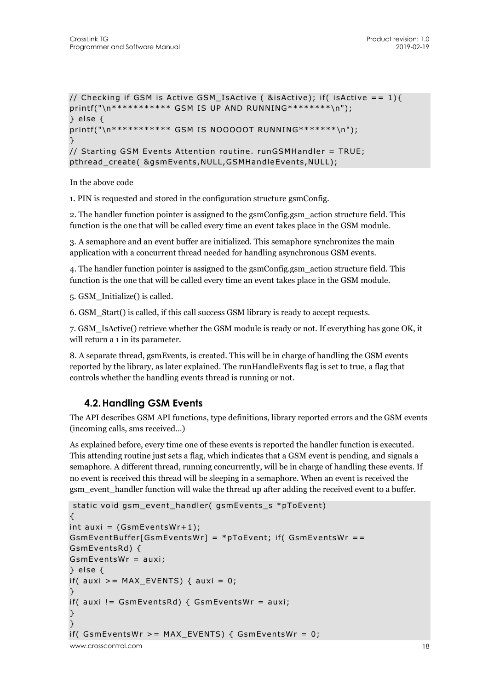```
// Checking if GSM is Active GSM IsActive ( &isActive); if( isActive == 1){
printf("\n*********** GSM IS UP AND RUNNING********\n"); 
} else { 
printf("\n*********** GSM IS NOOOOOT RUNNING*******\n"); 
\mathcal{L}// Starting GSM Events Attention routine. runGSMHandler = TRUE; 
pthread create( &gsmEvents, NULL, GSMHandleEvents, NULL);
```
In the above code

1. PIN is requested and stored in the configuration structure gsmConfig.

2. The handler function pointer is assigned to the gsmConfig.gsm\_action structure field. This function is the one that will be called every time an event takes place in the GSM module.

3. A semaphore and an event buffer are initialized. This semaphore synchronizes the main application with a concurrent thread needed for handling asynchronous GSM events.

4. The handler function pointer is assigned to the gsmConfig.gsm\_action structure field. This function is the one that will be called every time an event takes place in the GSM module.

5. GSM\_Initialize() is called.

6. GSM\_Start() is called, if this call success GSM library is ready to accept requests.

7. GSM\_IsActive() retrieve whether the GSM module is ready or not. If everything has gone OK, it will return a 1 in its parameter.

8. A separate thread, gsmEvents, is created. This will be in charge of handling the GSM events reported by the library, as later explained. The runHandleEvents flag is set to true, a flag that controls whether the handling events thread is running or not.

### **4.2.Handling GSM Events**

The API describes GSM API functions, type definitions, library reported errors and the GSM events (incoming calls, sms received…)

As explained before, every time one of these events is reported the handler function is executed. This attending routine just sets a flag, which indicates that a GSM event is pending, and signals a semaphore. A different thread, running concurrently, will be in charge of handling these events. If no event is received this thread will be sleeping in a semaphore. When an event is received the gsm\_event\_handler function will wake the thread up after adding the received event to a buffer.

```
www.crosscontrol.com 18
 static void gsm_event_handler( gsmEvents_s *pToEvent) 
{ 
int auxi = (GsmEventsWr+1);GsmEventBuffer[GsmEventsWr] = *pToEvent; if( GsmEventsWr == 
GsmEventsRd) { 
GsmEventsWr = auxi; 
} else { 
if( auxi >= MAX EVENTS) { auxi = 0;
} 
if( auxi != GsmEventsRd) { GsmEventsWr = auxi; 
} 
} 
if( GsmEventsWr >= MAX_EVENTS) { GsmEventsWr = 0;
```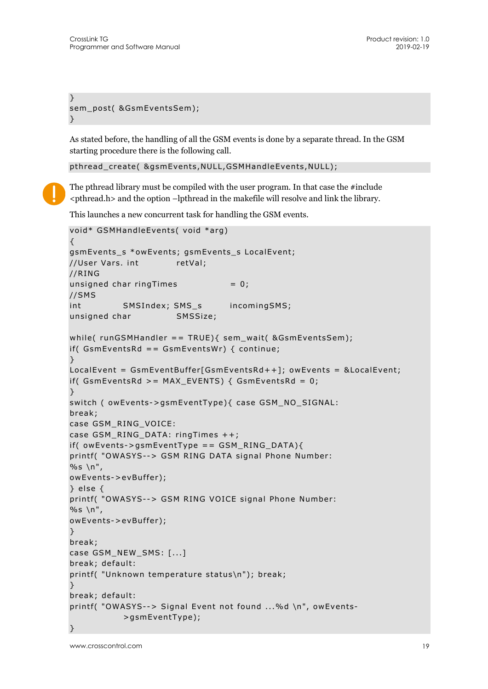```
} 
sem_post( &GsmEventsSem); 
}
```
As stated before, the handling of all the GSM events is done by a separate thread. In the GSM starting procedure there is the following call.

pthread create( &gsmEvents, NULL, GSMHandleEvents, NULL);

The pthread library must be compiled with the user program. In that case the #include <pthread.h> and the option –lpthread in the makefile will resolve and link the library.

This launches a new concurrent task for handling the GSM events.

```
void* GSMHandleEvents( void *arg) 
{ 
gsmEvents_s *owEvents; gsmEvents_s LocalEvent; 
//User Vars. int retVal;
//RING 
unsigned char ringTimes = 0;
//SMS 
int SMSIndex; SMS_s incomingSMS;
unsigned char SMSSize; 
while( runGSMHandler == TRUE){ sem_wait( &GsmEventsSem); 
if( GsmEventsRd == GsmEventsWr) { continue; 
} 
LocalEvent = GsmEventBuffer[GsmEventsRd++]; owEvents = &LocalEvent; 
if( GsmEvents <math>z = MAX EVENTS) { GsmEvents <math>d = 0;
} 
switch ( owEvents->gsmEventType){ case GSM_NO_SIGNAL: 
break; 
case GSM_RING_VOICE: 
case GSM_RING_DATA: ringTimes ++; 
if( owEvents->gsmEventType == GSM_RING_DATA){
printf( "OWASYS--> GSM RING DATA signal Phone Number: 
%s \ln",
owEvents->evBuffer); 
} else { 
printf( "OWASYS--> GSM RING VOICE signal Phone Number: 
%s\in\mathbb{R},
owEvents->evBuffer); 
} 
break; 
case GSM_NEW_SMS: [...]
break; default: 
printf( "Unknown temperature status\n"); break; 
} 
break; default: 
printf( "OWASYS--> Signal Event not found ...%d \n", owEvents-
           >gsmEventType); 
}
```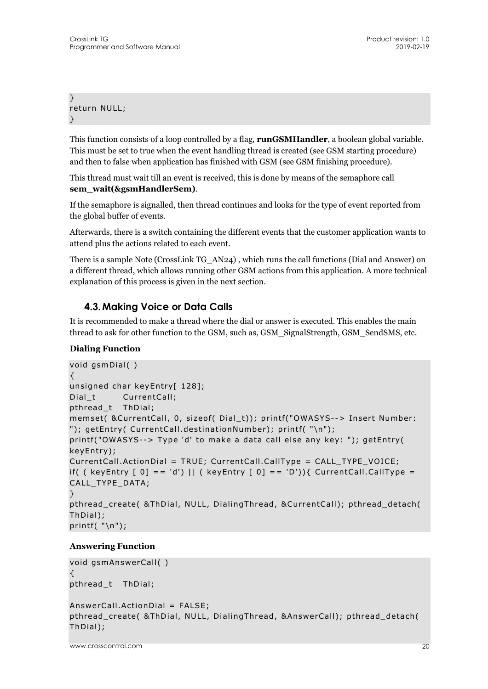} return NULL; }

This function consists of a loop controlled by a flag, **runGSMHandler**, a boolean global variable. This must be set to true when the event handling thread is created (see GSM starting procedure) and then to false when application has finished with GSM (see GSM finishing procedure).

This thread must wait till an event is received, this is done by means of the semaphore call **sem\_wait(&gsmHandlerSem)**.

If the semaphore is signalled, then thread continues and looks for the type of event reported from the global buffer of events.

Afterwards, there is a switch containing the different events that the customer application wants to attend plus the actions related to each event.

There is a sample Note (CrossLink TG\_AN24) , which runs the call functions (Dial and Answer) on a different thread, which allows running other GSM actions from this application. A more technical explanation of this process is given in the next section.

## **4.3.Making Voice or Data Calls**

It is recommended to make a thread where the dial or answer is executed. This enables the main thread to ask for other function to the GSM, such as, GSM\_SignalStrength, GSM\_SendSMS, etc.

#### **Dialing Function**

```
void gsmDial( ) 
{ 
unsigned char keyEntry[ 128];
Dial t CurrentCall;
pthread_t ThDial; 
memset( &CurrentCall, 0, sizeof( Dial_t)); printf("OWASYS--> Insert Number: 
"); getEntry( CurrentCall.destinationNumber); printf( "\n"); 
printf("OWASYS--> Type 'd' to make a data call else any key: "); getEntry( 
keyEntry); 
CurrentCall.ActionDial = TRUE; CurrentCall.CallType = CALL_TYPE_VOICE; 
if( ( keyEntry [0] == 'd') || ( keyEntry [0] == 'D')){ CurrentCall.CallType =
CALL_TYPE_DATA; 
} 
pthread_create( &ThDial, NULL, DialingThread, &CurrentCall); pthread_detach( 
ThDial); 
printf("\n\n\");
```
#### **Answering Function**

```
void gsmAnswerCall( ) 
{ 
pthread_t ThDial; 
AnswerCall.ActionDial = FALSE; 
pthread_create( &ThDial, NULL, DialingThread, &AnswerCall); pthread_detach( 
ThDial);
```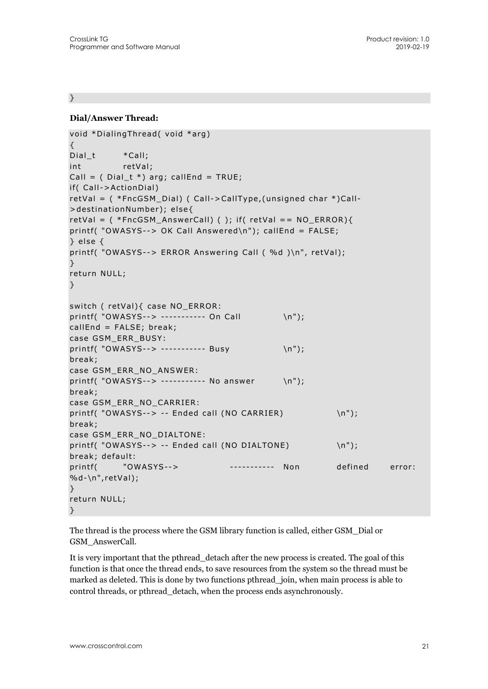}

#### **Dial/Answer Thread:**

```
void *DialingThread( void *arg) 
{ 
Dial_t *Call;
int retVal;
Call = (Dial_t *) arg; callEnd = TRUE;
if( Call->ActionDial) 
retVal = ( *FncGSM_Dial) ( Call->CallType,(unsigned char *)Call- 
>destinationNumber); else{ 
retVal = ( *FncGSM_AnswerCall) ( ); if( retVal == NO_ERROR){ 
printf( "OWASYS--> OK Call Answered\n"); callEnd = FALSE; 
} else { 
printf( "OWASYS--> ERROR Answering Call ( %d )\n", retVal); 
} 
return NULL; 
\rightarrowswitch ( retVal){ case NO_ERROR: 
printf( "OWASYS--> ----------- On Call \n");
callEnd = FALSE; break; 
case GSM_ERR_BUSY: 
printf( "OWASYS--> ----------- Busy \n");
break; 
case GSM_ERR_NO_ANSWER: 
printf( "OWASYS--> ----------- No answer \n");
break; 
case GSM_ERR_NO_CARRIER: 
printf( "OWASYS--> -- Ended call (NO CARRIER) \n");
break; 
case GSM_ERR_NO_DIALTONE: 
printf( "OWASYS--> -- Ended call (NO DIALTONE) \n");
break; default: 
printf( "OWASYS--> ------------ Non defined error:
%d-\n",retVal); 
} 
return NULL; 
}
```
The thread is the process where the GSM library function is called, either GSM\_Dial or GSM\_AnswerCall.

It is very important that the pthread\_detach after the new process is created. The goal of this function is that once the thread ends, to save resources from the system so the thread must be marked as deleted. This is done by two functions pthread\_join, when main process is able to control threads, or pthread\_detach, when the process ends asynchronously.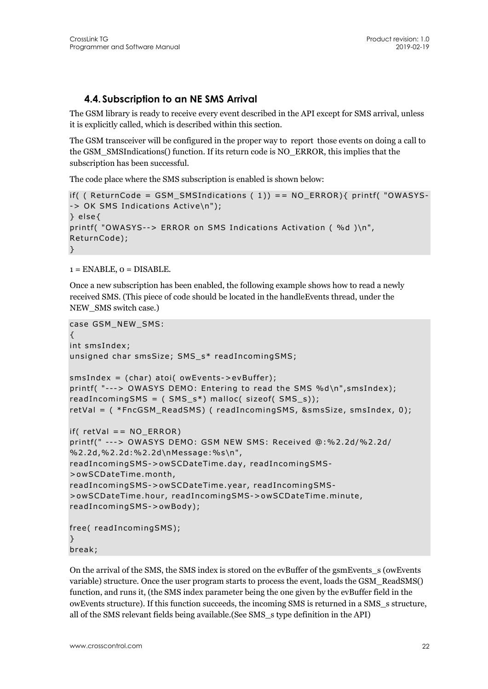## **4.4. Subscription to an NE SMS Arrival**

The GSM library is ready to receive every event described in the API except for SMS arrival, unless it is explicitly called, which is described within this section.

The GSM transceiver will be configured in the proper way to report those events on doing a call to the GSM\_SMSIndications() function. If its return code is NO\_ERROR, this implies that the subscription has been successful.

The code place where the SMS subscription is enabled is shown below:

```
if( ( ReturnCode = GSM_SMSIndications ( 1)) == NO_ERROR){ printf( "OWASYS-
-> OK SMS Indications Active\n"); 
} else{ 
printf( "OWASYS--> ERROR on SMS Indications Activation ( %d )\n",
ReturnCode); 
}
```
 $1 =$  ENABLE,  $0 =$  DISABLE.

Once a new subscription has been enabled, the following example shows how to read a newly received SMS. (This piece of code should be located in the handleEvents thread, under the NEW SMS switch case.)

```
case GSM_NEW_SMS: 
{ 
int smsIndex; 
unsigned char smsSize; SMS_s* readIncomingSMS; 
smsIndex = (char) atoi( owEvents->evBuffer); 
printf( "---> OWASYS DEMO: Entering to read the SMS %d\n",smsIndex); 
readIncomingSMS = (SMS_s^*) malloc( sizeof( SMS_s));
retVal = ( *FncGSM_ReadSMS) ( readIncomingSMS, &smsSize, smsIndex, 0); 
if( retVal = NO_ERROR)
printf(" ---> OWASYS DEMO: GSM NEW SMS: Received @:%2.2d/%2.2d/ 
%2.2d,%2.2d:%2.2d\nMessage:%s\n", 
readIncomingSMS->owSCDateTime.day, readIncomingSMS-
>owSCDateTime.month, 
readIncomingSMS->owSCDateTime.year, readIncomingSMS-
>owSCDateTime.hour, readIncomingSMS->owSCDateTime.minute, 
readIncomingSMS->owBody); 
free( readIncomingSMS); 
} 
break;
```
On the arrival of the SMS, the SMS index is stored on the evBuffer of the gsmEvents\_s (owEvents variable) structure. Once the user program starts to process the event, loads the GSM\_ReadSMS() function, and runs it, (the SMS index parameter being the one given by the evBuffer field in the owEvents structure). If this function succeeds, the incoming SMS is returned in a SMS\_s structure, all of the SMS relevant fields being available.(See SMS\_s type definition in the API)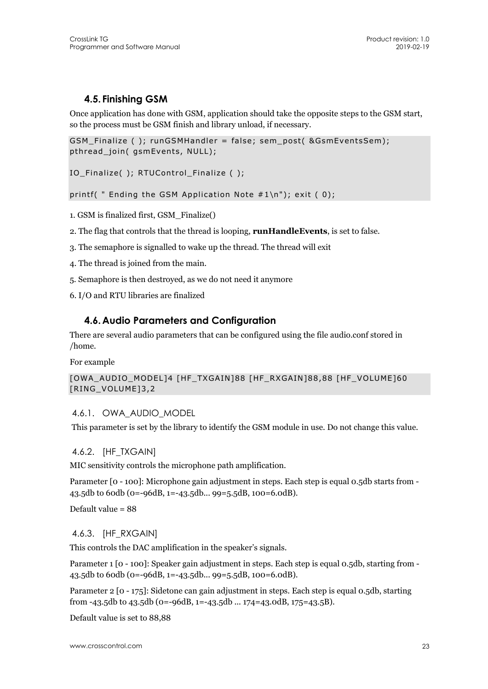## **4.5. Finishing GSM**

Once application has done with GSM, application should take the opposite steps to the GSM start, so the process must be GSM finish and library unload, if necessary.

GSM\_Finalize ( ); runGSMHandler = false; sem\_post( &GsmEventsSem); pthread\_join( gsmEvents, NULL);

IO\_Finalize( ); RTUControl\_Finalize ( );

printf(  $"$  Ending the GSM Application Note  $#1\n\rangle^n$ ; exit (0);

1. GSM is finalized first, GSM\_Finalize()

2. The flag that controls that the thread is looping, **runHandleEvents**, is set to false.

3. The semaphore is signalled to wake up the thread. The thread will exit

4. The thread is joined from the main.

5. Semaphore is then destroyed, as we do not need it anymore

6. I/O and RTU libraries are finalized

#### **4.6.Audio Parameters and Configuration**

There are several audio parameters that can be configured using the file audio.conf stored in /home.

For example

[OWA\_AUDIO\_MODEL]4 [HF\_TXGAIN]88 [HF\_RXGAIN]88,88 [HF\_VOLUME]60 [RING\_VOLUME]3,2

#### 4.6.1. OWA\_AUDIO\_MODEL

This parameter is set by the library to identify the GSM module in use. Do not change this value.

#### 4.6.2. [HF\_TXGAIN]

MIC sensitivity controls the microphone path amplification.

Parameter [0 - 100]: Microphone gain adjustment in steps. Each step is equal 0.5db starts from -43.5db to 60db (0=-96dB, 1=-43.5db... 99=5.5dB, 100=6.0dB).

Default value = 88

#### 4.6.3. [HF\_RXGAIN]

This controls the DAC amplification in the speaker's signals.

Parameter 1 [0 - 100]: Speaker gain adjustment in steps. Each step is equal 0.5db, starting from -43.5db to 60db (0=-96dB, 1=-43.5db... 99=5.5dB, 100=6.0dB).

Parameter 2 [0 - 175]: Sidetone can gain adjustment in steps. Each step is equal 0.5db, starting from -43.5db to 43.5db (0=-96dB, 1=-43.5db ... 174=43.0dB, 175=43.5B).

Default value is set to 88,88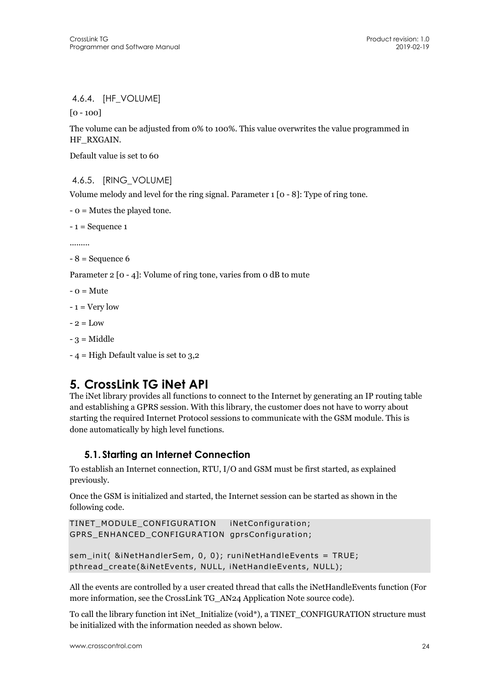#### 4.6.4. [HF\_VOLUME]

[0 - 100]

The volume can be adjusted from 0% to 100%. This value overwrites the value programmed in HF\_RXGAIN.

Default value is set to 60

4.6.5. [RING\_VOLUME]

Volume melody and level for the ring signal. Parameter 1 [0 - 8]: Type of ring tone.

- 0 = Mutes the played tone.

 $-1$  = Sequence 1

.........

 $-8$  = Sequence 6

Parameter 2 [0 - 4]: Volume of ring tone, varies from 0 dB to mute

 $-$  0 = Mute

 $-1$  = Very low

 $-2 =$ Low

- $-3$  = Middle
- 4 = High Default value is set to 3,2

## **5. CrossLink TG iNet API**

The iNet library provides all functions to connect to the Internet by generating an IP routing table and establishing a GPRS session. With this library, the customer does not have to worry about starting the required Internet Protocol sessions to communicate with the GSM module. This is done automatically by high level functions.

## **5.1. Starting an Internet Connection**

To establish an Internet connection, RTU, I/O and GSM must be first started, as explained previously.

Once the GSM is initialized and started, the Internet session can be started as shown in the following code.

```
TINET_MODULE_CONFIGURATION iNetConfiguration; 
GPRS_ENHANCED_CONFIGURATION gprsConfiguration;
```

```
sem_init( &iNetHandlerSem, 0, 0); runiNetHandleEvents = TRUE;
pthread_create(&iNetEvents, NULL, iNetHandleEvents, NULL);
```
All the events are controlled by a user created thread that calls the iNetHandleEvents function (For more information, see the CrossLink TG\_AN24 Application Note source code).

To call the library function int iNet Initialize (void\*), a TINET\_CONFIGURATION structure must be initialized with the information needed as shown below.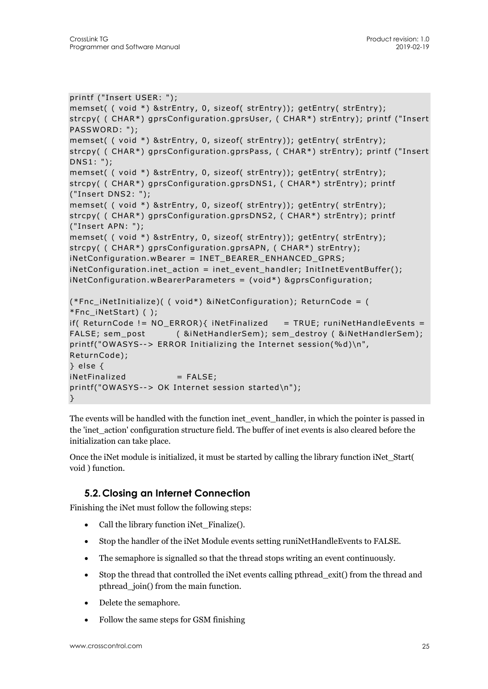```
printf ("Insert USER: "); 
memset( ( void *) &strEntry, 0, sizeof( strEntry)); getEntry( strEntry); 
strcpy( ( CHAR*) gprsConfiguration.gprsUser, ( CHAR*) strEntry); printf ("Insert 
PASSWORD: "); 
memset( ( void *) &strEntry, 0, sizeof( strEntry)); getEntry( strEntry); 
strcpy( ( CHAR*) gprsConfiguration.gprsPass, ( CHAR*) strEntry); printf ("Insert 
DNS1: "); 
memset( ( void *) &strEntry, 0, sizeof( strEntry)); getEntry( strEntry); 
strcpy( ( CHAR*) gprsConfiguration.gprsDNS1, ( CHAR*) strEntry); printf 
("Insert DNS2: "); 
memset( ( void *) &strEntry, 0, sizeof( strEntry)); getEntry( strEntry);
strcpy( ( CHAR*) gprsConfiguration.gprsDNS2, ( CHAR*) strEntry); printf 
("Insert APN: "); 
memset( ( void *) &strEntry, 0, sizeof( strEntry)); getEntry( strEntry);
strcpy( ( CHAR*) gprsConfiguration.gprsAPN, ( CHAR*) strEntry); 
iNetConfiguration.wBearer = INET_BEARER_ENHANCED_GPRS; 
iNetConfiguration.inet_action = inet_event_handler; InitInetEventBuffer();
iNetConfiguration.wBearerParameters = (void*) &gprsConfiguration; 
(*Fnc_iNetInitialize)( ( void*) &iNetConfiguration); ReturnCode = ( 
*Fnc_iNetStart) ( ); 
if( ReturnCode != NO_{ERROR}{ iNetFinalized = TRUE; runiNetHandleEvents =
FALSE; sem_post ( &iNetHandlerSem); sem_destroy ( &iNetHandlerSem); 
printf("OWASYS--> ERROR Initializing the Internet session(%d)\n", 
ReturnCode); 
} else { 
iNetFinalized = FALSE;
printf("OWASYS--> OK Internet session started\n"); 
}
```
The events will be handled with the function inet\_event\_handler, in which the pointer is passed in the 'inet\_action' configuration structure field. The buffer of inet events is also cleared before the initialization can take place.

Once the iNet module is initialized, it must be started by calling the library function iNet\_Start( void ) function.

## **5.2.Closing an Internet Connection**

Finishing the iNet must follow the following steps:

- Call the library function iNet Finalize().
- Stop the handler of the iNet Module events setting runiNetHandleEvents to FALSE.
- The semaphore is signalled so that the thread stops writing an event continuously.
- Stop the thread that controlled the iNet events calling pthread\_exit() from the thread and pthread\_join() from the main function.
- Delete the semaphore.
- Follow the same steps for GSM finishing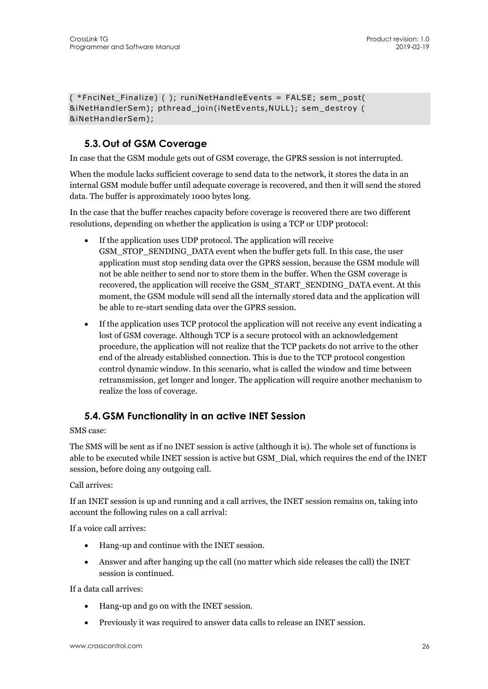( \*FnciNet\_Finalize) ( ); runiNetHandleEvents = FALSE; sem\_post( &iNetHandlerSem); pthread\_join(iNetEvents,NULL); sem\_destroy ( &iNetHandlerSem);

## **5.3. Out of GSM Coverage**

In case that the GSM module gets out of GSM coverage, the GPRS session is not interrupted.

When the module lacks sufficient coverage to send data to the network, it stores the data in an internal GSM module buffer until adequate coverage is recovered, and then it will send the stored data. The buffer is approximately 1000 bytes long.

In the case that the buffer reaches capacity before coverage is recovered there are two different resolutions, depending on whether the application is using a TCP or UDP protocol:

- If the application uses UDP protocol. The application will receive GSM\_STOP\_SENDING\_DATA event when the buffer gets full. In this case, the user application must stop sending data over the GPRS session, because the GSM module will not be able neither to send nor to store them in the buffer. When the GSM coverage is recovered, the application will receive the GSM\_START\_SENDING\_DATA event. At this moment, the GSM module will send all the internally stored data and the application will be able to re-start sending data over the GPRS session.
- If the application uses TCP protocol the application will not receive any event indicating a lost of GSM coverage. Although TCP is a secure protocol with an acknowledgement procedure, the application will not realize that the TCP packets do not arrive to the other end of the already established connection. This is due to the TCP protocol congestion control dynamic window. In this scenario, what is called the window and time between retransmission, get longer and longer. The application will require another mechanism to realize the loss of coverage.

## **5.4. GSM Functionality in an active INET Session**

SMS case:

The SMS will be sent as if no INET session is active (although it is). The whole set of functions is able to be executed while INET session is active but GSM\_Dial, which requires the end of the INET session, before doing any outgoing call.

Call arrives:

If an INET session is up and running and a call arrives, the INET session remains on, taking into account the following rules on a call arrival:

If a voice call arrives:

- Hang-up and continue with the INET session.
- Answer and after hanging up the call (no matter which side releases the call) the INET session is continued.

If a data call arrives:

- Hang-up and go on with the INET session.
- Previously it was required to answer data calls to release an INET session.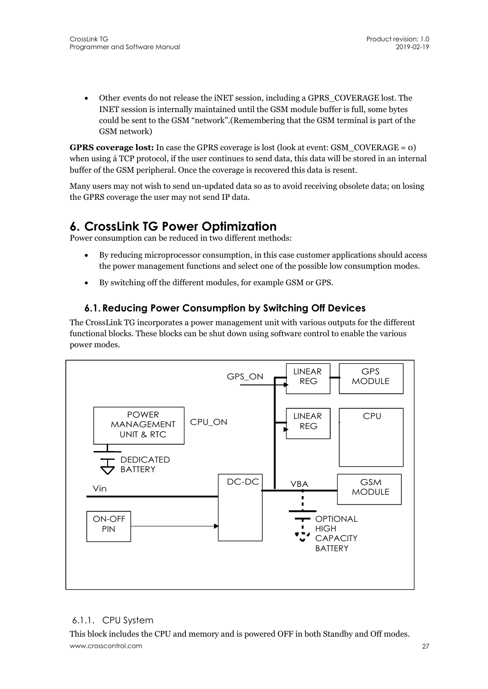Other events do not release the iNET session, including a GPRS\_COVERAGE lost. The INET session is internally maintained until the GSM module buffer is full, some bytes could be sent to the GSM "network".(Remembering that the GSM terminal is part of the GSM network)

**GPRS coverage lost:** In case the GPRS coverage is lost (look at event: GSM\_COVERAGE = 0) when using á TCP protocol, if the user continues to send data, this data will be stored in an internal buffer of the GSM peripheral. Once the coverage is recovered this data is resent.

Many users may not wish to send un-updated data so as to avoid receiving obsolete data; on losing the GPRS coverage the user may not send IP data.

## **6. CrossLink TG Power Optimization**

Power consumption can be reduced in two different methods:

- By reducing microprocessor consumption, in this case customer applications should access the power management functions and select one of the possible low consumption modes.
- By switching off the different modules, for example GSM or GPS.

## **6.1.Reducing Power Consumption by Switching Off Devices**

The CrossLink TG incorporates a power management unit with various outputs for the different functional blocks. These blocks can be shut down using software control to enable the various power modes.



### 6.1.1. CPU System

www.crosscontrol.com 27 This block includes the CPU and memory and is powered OFF in both Standby and Off modes.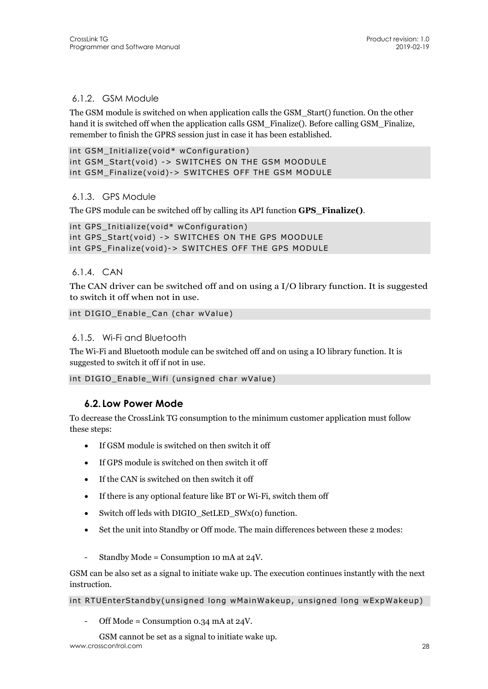#### 6.1.2. GSM Module

The GSM module is switched on when application calls the GSM\_Start() function. On the other hand it is switched off when the application calls GSM Finalize(). Before calling GSM Finalize, remember to finish the GPRS session just in case it has been established.

```
int GSM Initialize(void* wConfiguration)
int GSM_Start(void) -> SWITCHES ON THE GSM MOODULE 
int GSM_Finalize(void)-> SWITCHES OFF THE GSM MODULE
```
#### 6.1.3. GPS Module

The GPS module can be switched off by calling its API function **GPS\_Finalize()**.

```
int GPS_Initialize(void* wConfiguration) 
int GPS Start(void) -> SWITCHES ON THE GPS MOODULE
int GPS_Finalize(void)-> SWITCHES OFF THE GPS MODULE
```
6.1.4. CAN

The CAN driver can be switched off and on using a I/O library function. It is suggested to switch it off when not in use.

```
int DIGIO Enable Can (char wValue)
```
#### 6.1.5. Wi-Fi and Bluetooth

The Wi-Fi and Bluetooth module can be switched off and on using a IO library function. It is suggested to switch it off if not in use.

```
int DIGIO_Enable_Wifi (unsigned char wValue)
```
### **6.2. Low Power Mode**

To decrease the CrossLink TG consumption to the minimum customer application must follow these steps:

- If GSM module is switched on then switch it off
- If GPS module is switched on then switch it off
- If the CAN is switched on then switch it off
- If there is any optional feature like BT or Wi-Fi, switch them off
- Switch off leds with DIGIO\_SetLED\_SWx(0) function.
- Set the unit into Standby or Off mode. The main differences between these 2 modes:
- Standby Mode = Consumption 10 mA at  $24V$ .

GSM can be also set as a signal to initiate wake up. The execution continues instantly with the next instruction.

#### int RTUEnterStandby(unsigned long wMainWakeup, unsigned long wExpWakeup)

Off Mode = Consumption 0.34 mA at  $24V$ .

www.crosscontrol.com 28 GSM cannot be set as a signal to initiate wake up.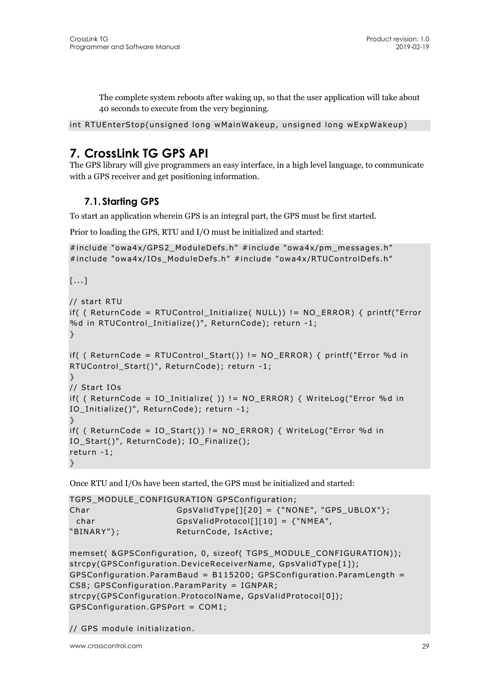The complete system reboots after waking up, so that the user application will take about 40 seconds to execute from the very beginning.

```
int RTUEnterStop(unsigned long wMainWakeup, unsigned long wExpWakeup)
```
## **7. CrossLink TG GPS API**

The GPS library will give programmers an easy interface, in a high level language, to communicate with a GPS receiver and get positioning information.

## **7.1. Starting GPS**

To start an application wherein GPS is an integral part, the GPS must be first started.

Prior to loading the GPS, RTU and I/O must be initialized and started:

```
#include "owa4x/GPS2_ModuleDefs.h" #include "owa4x/pm_messages.h" 
#include "owa4x/IOs ModuleDefs.h" #include "owa4x/RTUControlDefs.h"
[...] 
// start RTU 
if( ( ReturnCode = RTUControl_Initialize( NULL)) != NO_ERROR) { printf("Error 
%d in RTUControl Initialize()", ReturnCode); return -1;
} 
if( ( ReturnCode = RTUControl Start()) != NO ERROR) { printf("Error %d in
RTUControl_Start()", ReturnCode); return -1; 
} 
// Start IOs 
if( ( ReturnCode = IO_Initialize( )) != NO_ERROR) { WriteLog("Error %d in
```

```
} 
if( ( ReturnCode = IOStart()) != NO ERROR) { WriteLog("Error %d in
IO_Start()", ReturnCode); IO_Finalize(); 
return -1;
```
Once RTU and I/Os have been started, the GPS must be initialized and started:

IO\_Initialize()", ReturnCode); return -1;

```
TGPS_MODULE_CONFIGURATION GPSConfiguration; 
Char GpsValidType[][20] = {"NONE", "GPS_UBLOX"};
 char GpsValidProtocol[][10] = {"NMEA",
"BINARY"}; ReturnCode, IsActive;
```

```
memset( &GPSConfiguration, 0, sizeof( TGPS_MODULE_CONFIGURATION)); 
strcpy(GPSConfiguration.DeviceReceiverName, GpsValidType[1]); 
GPSConfiguration.ParamBaud = B115200; GPSConfiguration.ParamLength = 
CS8; GPSConfiguration.ParamParity = IGNPAR; 
strcpy(GPSConfiguration.ProtocolName, GpsValidProtocol[0]);
GPSConfiguration.GPSPort = COM1;
```
// GPS module initialization.

}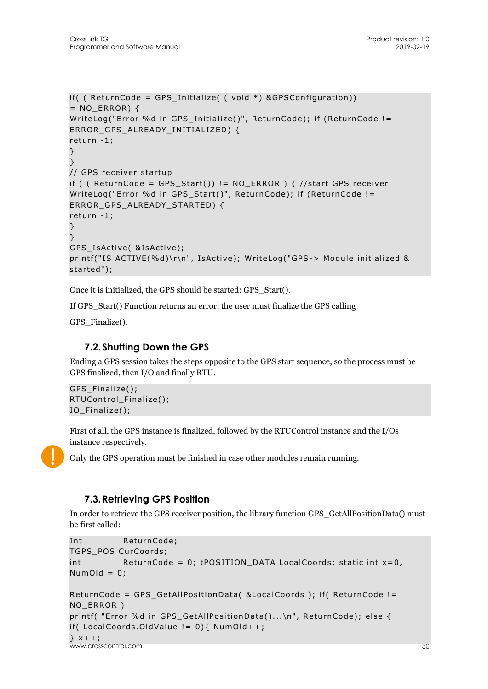```
if( ( ReturnCode = GPS Initialize( ( void *) \&GPSConfiguration) !
= NO_{ERROR}} {
WriteLog("Error %d in GPS_Initialize()", ReturnCode); if (ReturnCode != 
ERROR_GPS_ALREADY_INITIALIZED) { 
return -1; 
} 
} 
// GPS receiver startup 
if ( ( ReturnCode = GPS Start()) != NO ERROR ) \{ //start GPS receiver.
WriteLog("Error %d in GPS_Start()", ReturnCode); if (ReturnCode != 
ERROR GPS ALREADY STARTED) {
return -1; 
} 
} 
GPS IsActive( &IsActive);
printf("IS ACTIVE(%d)\r\n", IsActive); WriteLog("GPS-> Module initialized & 
started");
```
Once it is initialized, the GPS should be started: GPS\_Start().

If GPS\_Start() Function returns an error, the user must finalize the GPS calling

GPS Finalize().

## **7.2. Shutting Down the GPS**

Ending a GPS session takes the steps opposite to the GPS start sequence, so the process must be GPS finalized, then I/O and finally RTU.

```
GPS_Finalize(); 
RTUControl_Finalize(); 
IO_Finalize();
```
First of all, the GPS instance is finalized, followed by the RTUControl instance and the I/Os instance respectively.

Only the GPS operation must be finished in case other modules remain running.

### **7.3.Retrieving GPS Position**

In order to retrieve the GPS receiver position, the library function GPS\_GetAllPositionData() must be first called:

```
Int ReturnCode; 
TGPS_POS CurCoords; 
int ReturnCode = 0; tPOSITION_DATA LocalCoords; static int x=0,
NumOld = 0;
```

```
ReturnCode = GPS_GetAllPositionData( &LocalCoords ); if( ReturnCode != 
NO_ERROR ) 
printf( "Error %d in GPS_GetAllPositionData()...\n", ReturnCode); else {
```

```
if( LocalCoords.OldValue != 0){ NumOld++;
```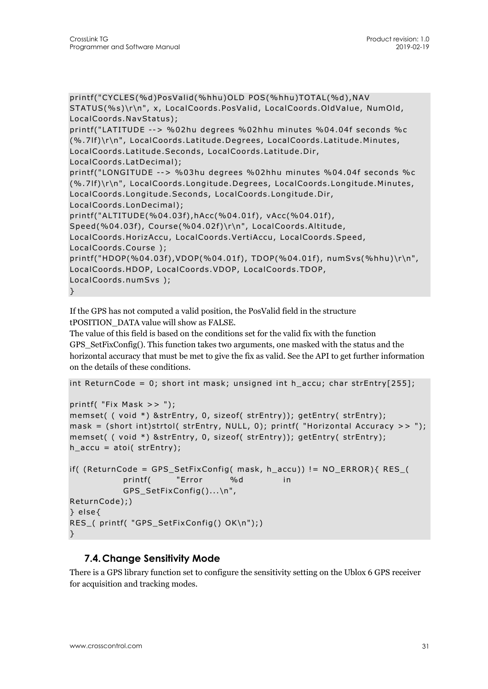```
printf("CYCLES(%d)PosValid(%hhu)OLD POS(%hhu)TOTAL(%d),NAV 
STATUS(%s)\r\n", x, LocalCoords.PosValid, LocalCoords.OldValue, NumOld, 
LocalCoords.NavStatus); 
printf("LATITUDE --> %02hu degrees %02hhu minutes %04.04f seconds %c 
(%.7lf)\r\n", LocalCoords.Latitude.Degrees, LocalCoords.Latitude.Minutes, 
LocalCoords.Latitude.Seconds, LocalCoords.Latitude.Dir, 
LocalCoords.LatDecimal); 
printf("LONGITUDE --> %03hu degrees %02hhu minutes %04.04f seconds %c 
(%.7lf)\r\n", LocalCoords.Longitude.Degrees, LocalCoords.Longitude.Minutes, 
LocalCoords.Longitude.Seconds, LocalCoords.Longitude.Dir, 
LocalCoords.LonDecimal); 
printf("ALTITUDE(%04.03f),hAcc(%04.01f), vAcc(%04.01f), 
Speed(%04.03f), Course(%04.02f)\r\n", LocalCoords.Altitude, 
LocalCoords.HorizAccu, LocalCoords.VertiAccu, LocalCoords.Speed, 
LocalCoords.Course ); 
printf("HDOP(%04.03f),VDOP(%04.01f), TDOP(%04.01f), numSvs(%hhu)\r\n", 
LocalCoords.HDOP, LocalCoords.VDOP, LocalCoords.TDOP, 
LocalCoords.numSvs ); 
}
```
If the GPS has not computed a valid position, the PosValid field in the structure tPOSITION\_DATA value will show as FALSE.

The value of this field is based on the conditions set for the valid fix with the function GPS\_SetFixConfig(). This function takes two arguments, one masked with the status and the horizontal accuracy that must be met to give the fix as valid. See the API to get further information on the details of these conditions.

```
int ReturnCode = 0; short int mask; unsigned int h accu; char strEntry[255];
```

```
printf( "Fix Mask >> ");
```

```
memset( ( void *) &strEntry, 0, sizeof( strEntry)); getEntry( strEntry); 
mask = (short int)strtol( strEntry, NULL, 0); printf( "Horizontal Accuracy >> ");
memset( ( void *) &strEntry, 0, sizeof( strEntry)); getEntry( strEntry); 
h<sub>2</sub> accu = atoi( strEntry);
```

```
if( (ReturnCode = GPS_SetFixConfig( mask, h_accu)) != NO_ERROR){ RES_(
           printf( "Error %d in
            GPS_SetFixConfig()...\n", 
ReturnCode);) 
} else{ 
RES_( printf( "GPS_SetFixConfig() OK\n");) 
}
```
### **7.4.Change Sensitivity Mode**

There is a GPS library function set to configure the sensitivity setting on the Ublox 6 GPS receiver for acquisition and tracking modes.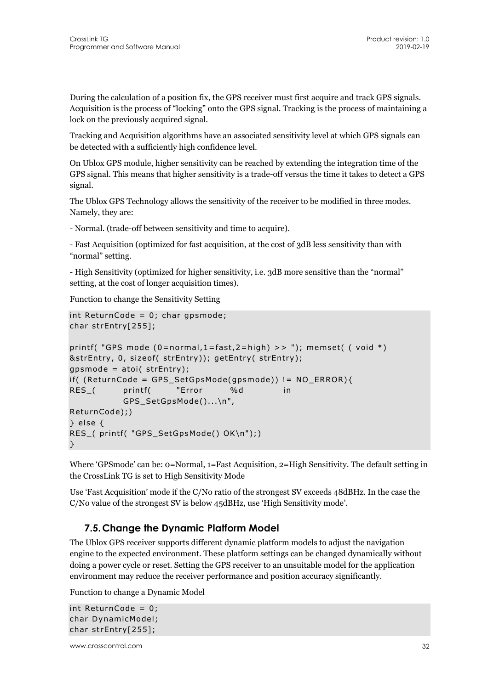During the calculation of a position fix, the GPS receiver must first acquire and track GPS signals. Acquisition is the process of "locking" onto the GPS signal. Tracking is the process of maintaining a lock on the previously acquired signal.

Tracking and Acquisition algorithms have an associated sensitivity level at which GPS signals can be detected with a sufficiently high confidence level.

On Ublox GPS module, higher sensitivity can be reached by extending the integration time of the GPS signal. This means that higher sensitivity is a trade-off versus the time it takes to detect a GPS signal.

The Ublox GPS Technology allows the sensitivity of the receiver to be modified in three modes. Namely, they are:

- Normal. (trade-off between sensitivity and time to acquire).

- Fast Acquisition (optimized for fast acquisition, at the cost of 3dB less sensitivity than with "normal" setting.

- High Sensitivity (optimized for higher sensitivity, i.e. 3dB more sensitive than the "normal" setting, at the cost of longer acquisition times).

Function to change the Sensitivity Setting

```
int ReturnCode = 0; char gpsmode; 
char strEntry[255]; 
printf( "GPS mode (0=normal, 1=fast, 2=high) >> "); memset( ( void *)&strEntry, 0, sizeof( strEntry)); getEntry( strEntry); 
qpsmode = atoi( strEntry);
if( (ReturnCode = GPS_SetGpsMode(gpsmode)) != NO_ERROR){ 
RES ( printf( "Error %d in
           GPS SetGpsMode()...\n",
ReturnCode);) 
} else { 
RES_( printf( "GPS_SetGpsMode() OK\n");) 
}
```
Where 'GPSmode' can be: 0=Normal, 1=Fast Acquisition, 2=High Sensitivity. The default setting in the CrossLink TG is set to High Sensitivity Mode

Use 'Fast Acquisition' mode if the C/No ratio of the strongest SV exceeds 48dBHz. In the case the C/No value of the strongest SV is below 45dBHz, use 'High Sensitivity mode'.

### **7.5.Change the Dynamic Platform Model**

The Ublox GPS receiver supports different dynamic platform models to adjust the navigation engine to the expected environment. These platform settings can be changed dynamically without doing a power cycle or reset. Setting the GPS receiver to an unsuitable model for the application environment may reduce the receiver performance and position accuracy significantly.

Function to change a Dynamic Model

```
int ReturnCode = 0; 
char DynamicModel; 
char strEntry[255];
```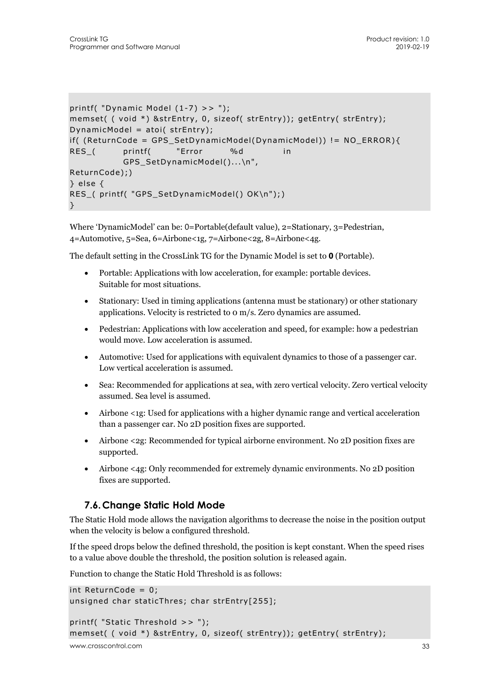```
printf( "Dynamic Model (1-7) >> "); 
memset( ( void *) &strEntry, 0, sizeof( strEntry)); getEntry( strEntry);
DynamicModel = atoi( strEntry); 
if( (ReturnCode = GPS_SetDynamicModel(DynamicModel)) != NO_ERROR){ 
RES ( printf( "Error %d in
           GPS SetDynamicModel()...\n",
ReturnCode);) 
} else { 
RES_( printf( "GPS_SetDynamicModel() OK\n");) 
}
```
Where 'DynamicModel' can be: 0=Portable(default value), 2=Stationary, 3=Pedestrian, 4=Automotive, 5=Sea, 6=Airbone<1g, 7=Airbone<2g, 8=Airbone<4g.

The default setting in the CrossLink TG for the Dynamic Model is set to **0** (Portable).

- Portable: Applications with low acceleration, for example: portable devices. Suitable for most situations.
- Stationary: Used in timing applications (antenna must be stationary) or other stationary applications. Velocity is restricted to 0 m/s. Zero dynamics are assumed.
- Pedestrian: Applications with low acceleration and speed, for example: how a pedestrian would move. Low acceleration is assumed.
- Automotive: Used for applications with equivalent dynamics to those of a passenger car. Low vertical acceleration is assumed.
- Sea: Recommended for applications at sea, with zero vertical velocity. Zero vertical velocity assumed. Sea level is assumed.
- Airbone <1g: Used for applications with a higher dynamic range and vertical acceleration than a passenger car. No 2D position fixes are supported.
- Airbone <2g: Recommended for typical airborne environment. No 2D position fixes are supported.
- Airbone <4g: Only recommended for extremely dynamic environments. No 2D position fixes are supported.

### **7.6.Change Static Hold Mode**

The Static Hold mode allows the navigation algorithms to decrease the noise in the position output when the velocity is below a configured threshold.

If the speed drops below the defined threshold, the position is kept constant. When the speed rises to a value above double the threshold, the position solution is released again.

Function to change the Static Hold Threshold is as follows:

```
int ReturnCode = 0; 
unsigned char staticThres; char strEntry[255]; 
printf( "Static Threshold >> "); 
memset( ( void *) &strEntry, 0, sizeof( strEntry)); getEntry( strEntry);
```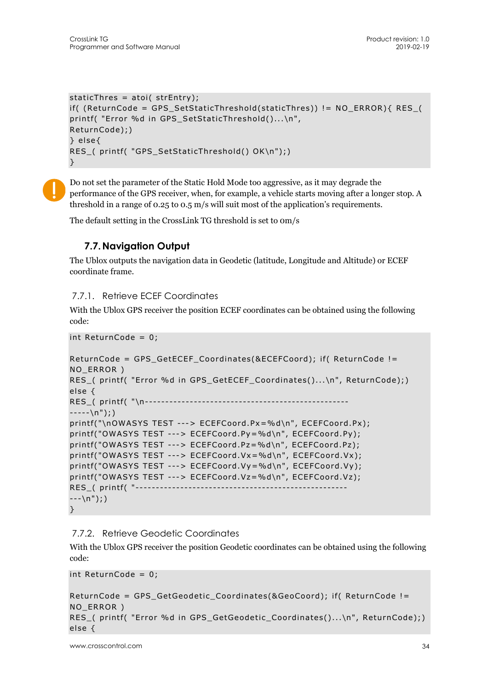```
staticThres = atoi( strEntry);
if( (ReturnCode = GPS_SetStaticThreshold(staticThres)) != NO_ERROR){ RES_( 
printf( "Error %d in GPS SetStaticThreshold()...\n",
ReturnCode);) 
} else{ 
RES_( printf( "GPS_SetStaticThreshold() OK\n");) 
}
```
Do not set the parameter of the Static Hold Mode too aggressive, as it may degrade the performance of the GPS receiver, when, for example, a vehicle starts moving after a longer stop. A threshold in a range of 0.25 to 0.5 m/s will suit most of the application's requirements.

The default setting in the CrossLink TG threshold is set to 0m/s

## **7.7.Navigation Output**

The Ublox outputs the navigation data in Geodetic (latitude, Longitude and Altitude) or ECEF coordinate frame.

#### 7.7.1. Retrieve ECEF Coordinates

With the Ublox GPS receiver the position ECEF coordinates can be obtained using the following code:

```
int ReturnCode = 0;
```

```
ReturnCode = GPS GetECEF Coordinates(&ECEFCoord); if( ReturnCode !=
NO_ERROR ) 
RES_( printf( "Error %d in GPS_GetECEF_Coordinates()...\n", ReturnCode);)
else { 
RES_( printf( "\n-------------------------------------------------- 
---\n(n");)
printf("\nOWASYS TEST ---> ECEFCoord.Px=%d\n", ECEFCoord.Px); 
printf("OWASYS TEST ---> ECEFCoord.Py=%d\n", ECEFCoord.Py); 
printf("OWASYS TEST ---> ECEFCoord.Pz=%d\n", ECEFCoord.Pz); 
printf("OWASYS TEST ---> ECEFCoord.Vx=%d\n", ECEFCoord.Vx); 
printf("OWASYS TEST ---> ECEFCoord.Vy=%d\n", ECEFCoord.Vy); 
printf("OWASYS TEST ---> ECEFCoord.Vz=%d\n", ECEFCoord.Vz); 
RES_( printf( "------
---\n(n");)
}
```
### 7.7.2. Retrieve Geodetic Coordinates

With the Ublox GPS receiver the position Geodetic coordinates can be obtained using the following code:

int ReturnCode = 0;

```
ReturnCode = GPS_GetGeodetic_Coordinates(&GeoCoord); if( ReturnCode != 
NO_ERROR ) 
RES_( printf( "Error %d in GPS_GetGeodetic_Coordinates()...\n", ReturnCode);) 
else {
```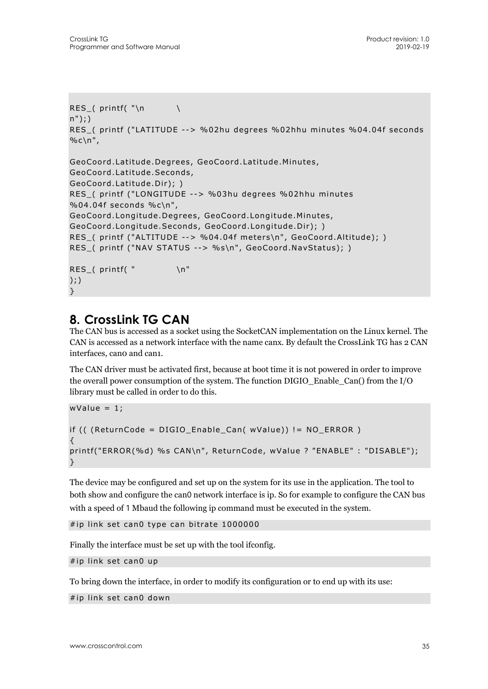```
RES_( printf( "\n \ 
n");) 
RES_( printf ("LATITUDE --> %02hu degrees %02hhu minutes %04.04f seconds 
%c\n",
GeoCoord.Latitude.Degrees, GeoCoord.Latitude.Minutes, 
GeoCoord.Latitude.Seconds, 
GeoCoord.Latitude.Dir); ) 
RES_( printf ("LONGITUDE --> %03hu degrees %02hhu minutes 
%04.04f seconds %c\n", 
GeoCoord.Longitude.Degrees, GeoCoord.Longitude.Minutes, 
GeoCoord.Longitude.Seconds, GeoCoord.Longitude.Dir); ) 
RES_( printf ("ALTITUDE --> %04.04f meters\n", GeoCoord.Altitude); )
RES ( printf ("NAV STATUS --> %s\n", GeoCoord.NavStatus); )
RES ( printf( " \quad \n\backslash n");) 
}
```
## **8. CrossLink TG CAN**

The CAN bus is accessed as a socket using the SocketCAN implementation on the Linux kernel. The CAN is accessed as a network interface with the name canx. By default the CrossLink TG has 2 CAN interfaces, can0 and can1.

The CAN driver must be activated first, because at boot time it is not powered in order to improve the overall power consumption of the system. The function DIGIO\_Enable\_Can() from the I/O library must be called in order to do this.

```
wValue = 1;if (( (ReturnCode = DIGIO_Enable_Can( wValue)) != NO_ERROR ) 
{ 
printf("ERROR(%d) %s CAN\n", ReturnCode, wValue ? "ENABLE" : "DISABLE"); 
}
```
The device may be configured and set up on the system for its use in the application. The tool to both show and configure the can0 network interface is ip. So for example to configure the CAN bus with a speed of 1 Mbaud the following ip command must be executed in the system.

```
#ip link set can0 type can bitrate 1000000
```
Finally the interface must be set up with the tool ifconfig.

#ip link set can0 up

To bring down the interface, in order to modify its configuration or to end up with its use:

#ip link set can0 down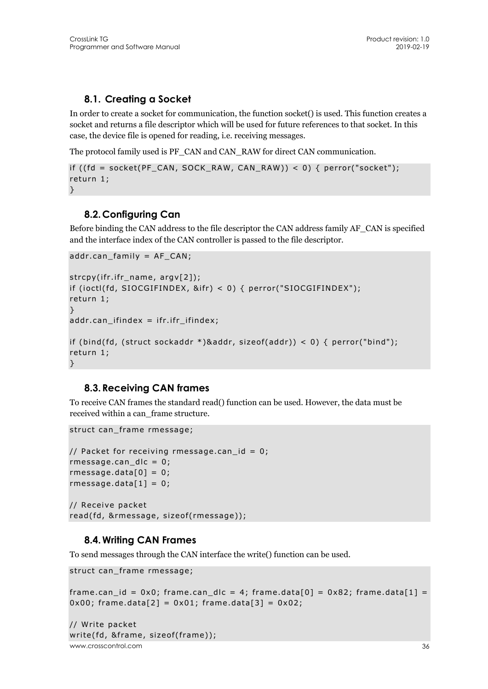## **8.1. Creating a Socket**

In order to create a socket for communication, the function socket() is used. This function creates a socket and returns a file descriptor which will be used for future references to that socket. In this case, the device file is opened for reading, i.e. receiving messages.

The protocol family used is PF\_CAN and CAN\_RAW for direct CAN communication.

```
if ((fd = socket(PF_CAN, SOCK_RAW, CAN_RAW)) < 0) { perror("socket");
return 1; 
}
```
### **8.2.Configuring Can**

Before binding the CAN address to the file descriptor the CAN address family AF\_CAN is specified and the interface index of the CAN controller is passed to the file descriptor.

```
addr.can_family = AF_CAN; 
strcpy(ifr.ifr_name, argv[2]); 
if (ioctl(fd, SIOCGIFINDEX, &ifr) < 0) { perror("SIOCGIFINDEX"); 
return 1; 
} 
addr.cam_ifindex = ifr_ifr_ifindex;if (bind(fd, (struct sockaddr *)&addr, sizeof(addr)) < 0) { perror("bind"); 
return 1; 
}
```
### **8.3.Receiving CAN frames**

To receive CAN frames the standard read() function can be used. However, the data must be received within a can\_frame structure.

struct can\_frame rmessage;

```
// Packet for receiving rmessage.can_id = 0;
rmessage.can_dlc = 0; 
rmessage.data[0] = 0;
rmessage.data[1] = 0;
// Receive packet 
read(fd, &rmessage, sizeof(rmessage));
```
### **8.4.Writing CAN Frames**

To send messages through the CAN interface the write() function can be used.

```
struct can_frame rmessage;
```

```
frame.can_id = 0x0; frame.can_dlc = 4; frame.data[0] = 0x82; frame.data[1] =
0x00; frame.data[2] = 0x01; frame.data[3] = 0x02;
```

```
www.crosscontrol.com 36
// Write packet 
write(fd, &frame, sizeof(frame));
```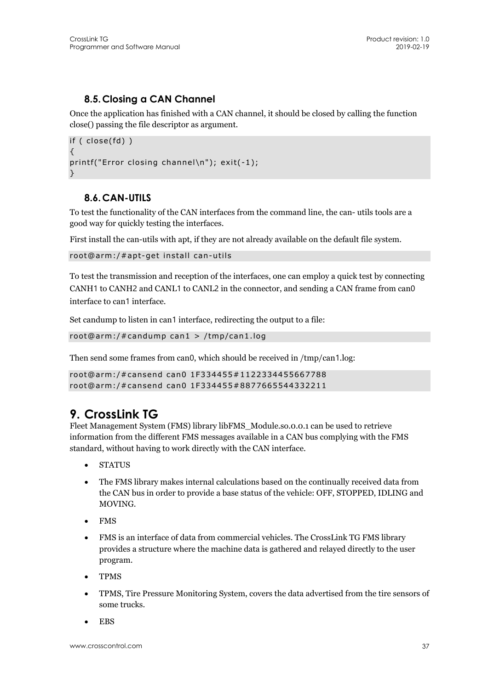## **8.5.Closing a CAN Channel**

Once the application has finished with a CAN channel, it should be closed by calling the function close() passing the file descriptor as argument.

```
if ( close(fd) ) 
{ 
printf("Error closing channel\n"); exit(-1); 
}
```
### **8.6.CAN-UTILS**

To test the functionality of the CAN interfaces from the command line, the can- utils tools are a good way for quickly testing the interfaces.

First install the can-utils with apt, if they are not already available on the default file system.

```
root@arm:/#apt-get install can-utils
```
To test the transmission and reception of the interfaces, one can employ a quick test by connecting CANH1 to CANH2 and CANL1 to CANL2 in the connector, and sending a CAN frame from can0 interface to can1 interface.

Set candump to listen in can1 interface, redirecting the output to a file:

```
root@arm:/#candump can1 > /tmp/can1.log
```
Then send some frames from can0, which should be received in /tmp/can1.log:

```
root@arm:/#cansend can0 1F334455#1122334455667788 
root@arm:/#cansend can0 1F334455#8877665544332211
```
## **9. CrossLink TG**

Fleet Management System (FMS) library libFMS\_Module.so.0.0.1 can be used to retrieve information from the different FMS messages available in a CAN bus complying with the FMS standard, without having to work directly with the CAN interface.

- STATUS
- The FMS library makes internal calculations based on the continually received data from the CAN bus in order to provide a base status of the vehicle: OFF, STOPPED, IDLING and MOVING.
- FMS
- FMS is an interface of data from commercial vehicles. The CrossLink TG FMS library provides a structure where the machine data is gathered and relayed directly to the user program.
- TPMS
- TPMS, Tire Pressure Monitoring System, covers the data advertised from the tire sensors of some trucks.
- EBS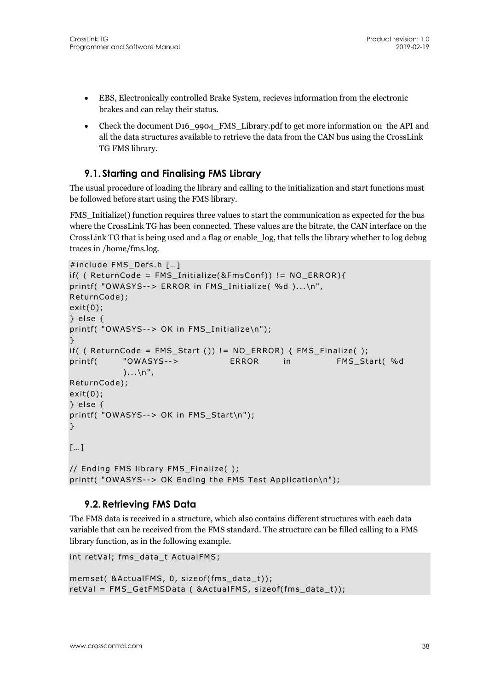- EBS, Electronically controlled Brake System, recieves information from the electronic brakes and can relay their status.
- Check the document D16 9904 FMS Library.pdf to get more information on the API and all the data structures available to retrieve the data from the CAN bus using the CrossLink TG FMS library.

### **9.1. Starting and Finalising FMS Library**

The usual procedure of loading the library and calling to the initialization and start functions must be followed before start using the FMS library.

FMS Initialize() function requires three values to start the communication as expected for the bus where the CrossLink TG has been connected. These values are the bitrate, the CAN interface on the CrossLink TG that is being used and a flag or enable\_log, that tells the library whether to log debug traces in /home/fms.log.

```
#include FMS_Defs.h […] 
if( ( ReturnCode = FMS Initialize(&FmsConf) != NO ERROR}{
printf( "OWASYS--> ERROR in FMS_Initialize( %d )...\n", 
ReturnCode); 
exit(0); 
} else { 
printf( "OWASYS--> OK in FMS_Initialize\n"); 
} 
if( ( ReturnCode = FMS_Start ()) != NO_ERROR { FMS_Finalize ();
printf( "OWASYS--> ERROR in FMS_Start(%d
           \ldots\n",
ReturnCode); 
exit(0); 
} else { 
printf( "OWASYS--> OK in FMS_Start\n"); 
} 
[…] 
// Ending FMS library FMS_Finalize( ); 
printf( "OWASYS--> OK Ending the FMS Test Application\n");
```
### **9.2.Retrieving FMS Data**

The FMS data is received in a structure, which also contains different structures with each data variable that can be received from the FMS standard. The structure can be filled calling to a FMS library function, as in the following example.

```
int retVal; fms_data_t ActualFMS; 
memset( &ActualFMS, 0, sizeof(fms_data_t));
retVal = FMS_GetFMSData ( &ActualFMS, sizeof(fms_data_t));
```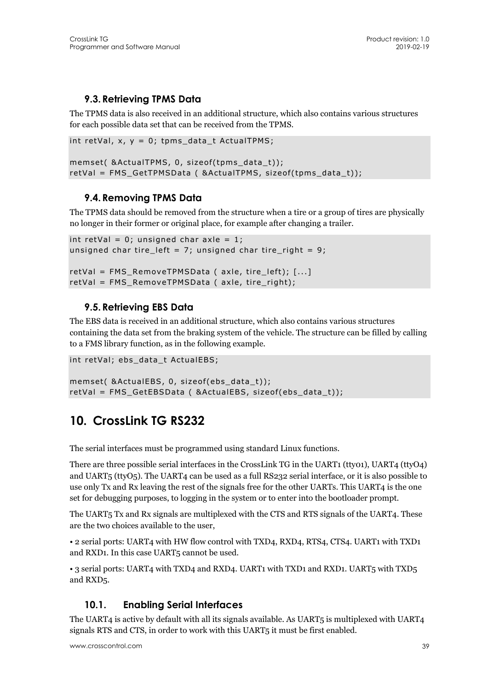## **9.3.Retrieving TPMS Data**

The TPMS data is also received in an additional structure, which also contains various structures for each possible data set that can be received from the TPMS.

```
int retVal, x, y = 0; tpms_data_t ActualTPMS;
```

```
memset( &ActualTPMS, 0, sizeof(tpms_data_t)); 
retVal = FMS_GetTPMSData ( &ActualTPMS, sizeof(tpms_data_t));
```
## **9.4.Removing TPMS Data**

The TPMS data should be removed from the structure when a tire or a group of tires are physically no longer in their former or original place, for example after changing a trailer.

```
int retVal = 0; unsigned char axle = 1;
unsigned char tire_left = 7; unsigned char tire_right = 9;
retVal = FMS_RemoveTPMSData ( axle, tire_left); [...] 
retVal = FMS_RemoveTPMSData ( axle, tire_right);
```
## **9.5.Retrieving EBS Data**

The EBS data is received in an additional structure, which also contains various structures containing the data set from the braking system of the vehicle. The structure can be filled by calling to a FMS library function, as in the following example.

```
int retVal; ebs_data_t ActualEBS;
```
memset( &ActualEBS, 0, sizeof(ebs\_data\_t)); retVal = FMS\_GetEBSData ( &ActualEBS, sizeof(ebs\_data\_t));

## **10. CrossLink TG RS232**

The serial interfaces must be programmed using standard Linux functions.

There are three possible serial interfaces in the CrossLink TG in the UART1 (tty01), UART4 (ttyO4) and UART5 (ttyO5). The UART4 can be used as a full RS232 serial interface, or it is also possible to use only Tx and Rx leaving the rest of the signals free for the other UARTs. This UART4 is the one set for debugging purposes, to logging in the system or to enter into the bootloader prompt.

The UART5 Tx and Rx signals are multiplexed with the CTS and RTS signals of the UART4. These are the two choices available to the user,

• 2 serial ports: UART4 with HW flow control with TXD4, RXD4, RTS4, CTS4. UART1 with TXD1 and RXD1. In this case UART5 cannot be used.

• 3 serial ports: UART4 with TXD4 and RXD4. UART1 with TXD1 and RXD1. UART5 with TXD5 and RXD5.

## **10.1. Enabling Serial Interfaces**

The UART4 is active by default with all its signals available. As UART5 is multiplexed with UART4 signals RTS and CTS, in order to work with this UART5 it must be first enabled.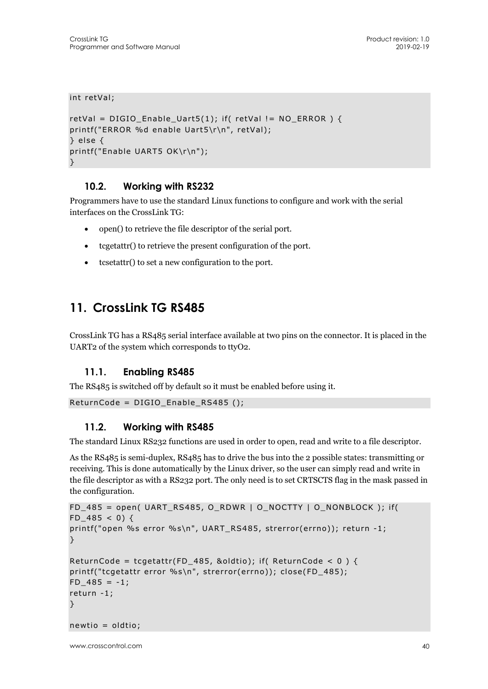```
int retVal;
```

```
retVal = DIGIO Enable Uart5(1); if( retVal != NO ERROR ) {
printf("ERROR %d enable Uart5\r\n", retVal); 
} else { 
printf("Enable UART5 OK\r\n"); 
}
```
### **10.2. Working with RS232**

Programmers have to use the standard Linux functions to configure and work with the serial interfaces on the CrossLink TG:

- open() to retrieve the file descriptor of the serial port.
- tcgetattr() to retrieve the present configuration of the port.
- tcsetattr() to set a new configuration to the port.

## **11. CrossLink TG RS485**

CrossLink TG has a RS485 serial interface available at two pins on the connector. It is placed in the UART2 of the system which corresponds to ttyO2.

#### **11.1. Enabling RS485**

The RS485 is switched off by default so it must be enabled before using it.

```
ReturnCode = DIGIO Enable RS485 ();
```
#### **11.2. Working with RS485**

The standard Linux RS232 functions are used in order to open, read and write to a file descriptor.

As the RS485 is semi-duplex, RS485 has to drive the bus into the 2 possible states: transmitting or receiving. This is done automatically by the Linux driver, so the user can simply read and write in the file descriptor as with a RS232 port. The only need is to set CRTSCTS flag in the mask passed in the configuration.

```
FD_485 = open( UART_RS485, O_RDWR | O_NOCTTY | O_NONBLOCK ); if( 
FD 485 < 0) {
printf("open %s error %s\n", UART_RS485, strerror(errno)); return -1; 
} 
ReturnCode = tcgetattr(FD_485, &oldtio); if( ReturnCode < 0) {
printf("tcgetattr error %s\n", strerror(errno)); close(FD_485); 
FD 485 = -1;
return -1; 
} 
newtio = oldtio;
```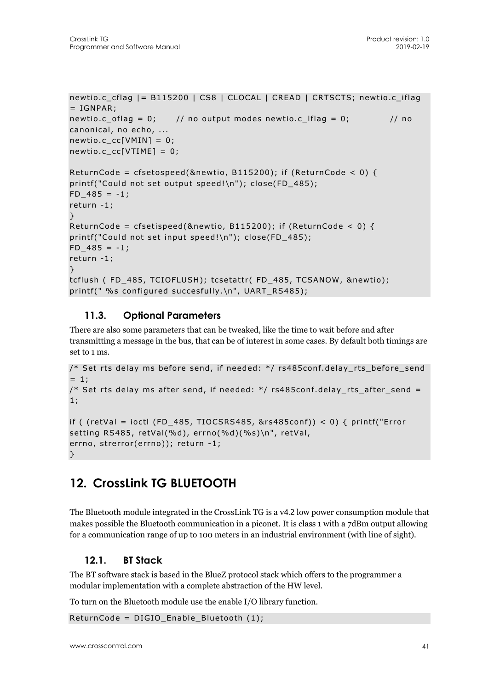```
newtio.c_cflag |= B115200 | CS8 | CLOCAL | CREAD | CRTSCTS; newtio.c_iflag
= IGNPAR;
newtio.c_oflag = 0; // no output modes newtio.c_lflag = 0; // no
canonical, no echo, ... 
newtio.c cc[VMIN] = 0;
newtio.c cc[VTIME] = 0;
ReturnCode = cfsetospeed(&newtio, B115200); if (ReturnCode < 0) {
printf("Could not set output speed!\n"); close(FD_485);
FD 485 = -1;
return -1; 
} 
ReturnCode = cfsetispeed(&newtio, B115200); if (ReturnCode < 0) {
printf("Could not set input speed!\n"); close(FD_485); 
FD 485 = -1;
return -1; 
} 
tcflush ( FD_485, TCIOFLUSH); tcsetattr( FD_485, TCSANOW, &newtio); 
printf(" %s configured succesfully.\n", UART_RS485);
```
## **11.3. Optional Parameters**

There are also some parameters that can be tweaked, like the time to wait before and after transmitting a message in the bus, that can be of interest in some cases. By default both timings are set to 1 ms.

```
/* Set rts delay ms before send, if needed: */ rs485conf.delay_rts_before_send 
= 1;
/* Set rts delay ms after send, if needed: */ rs485conf.delay rts after send =
1; 
if ( (retVal = ioctl (FD_485, TIOCSRS485, &rs485conf)) < 0) { printf("Error
setting RS485, retVal(%d), errno(%d)(%s)\n", retVal, 
errno, strerror(errno)); return -1; 
}
```
## **12. CrossLink TG BLUETOOTH**

The Bluetooth module integrated in the CrossLink TG is a v4.2 low power consumption module that makes possible the Bluetooth communication in a piconet. It is class 1 with a 7dBm output allowing for a communication range of up to 100 meters in an industrial environment (with line of sight).

### **12.1. BT Stack**

The BT software stack is based in the BlueZ protocol stack which offers to the programmer a modular implementation with a complete abstraction of the HW level.

To turn on the Bluetooth module use the enable I/O library function.

ReturnCode = DIGIO\_Enable\_Bluetooth (1);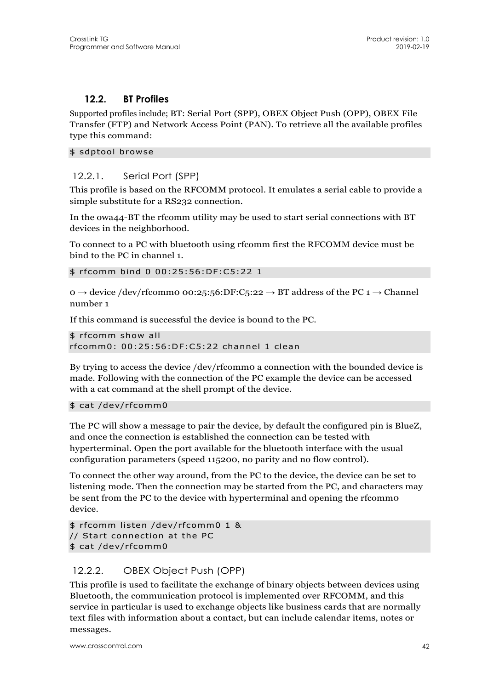#### **12.2. BT Profiles**

Supported profiles include; BT: Serial Port (SPP), OBEX Object Push (OPP), OBEX File Transfer (FTP) and Network Access Point (PAN). To retrieve all the available profiles type this command:

\$ sdptool browse

#### 12.2.1. Serial Port (SPP)

This profile is based on the RFCOMM protocol. It emulates a serial cable to provide a simple substitute for a RS232 connection.

In the owa44-BT the rfcomm utility may be used to start serial connections with BT devices in the neighborhood.

To connect to a PC with bluetooth using rfcomm first the RFCOMM device must be bind to the PC in channel 1.

\$ rfcomm bind 0 00:25:56:DF:C5:22 1

0 → device /dev/rfcomm0 00:25:56:DF:C5:22 → BT address of the PC 1 → Channel number 1

If this command is successful the device is bound to the PC.

```
$ rfcomm show all 
rfcomm0: 00:25:56:DF:C5:22 channel 1 clean
```
By trying to access the device /dev/rfcomm0 a connection with the bounded device is made. Following with the connection of the PC example the device can be accessed with a cat command at the shell prompt of the device.

#### \$ cat /dev/rfcomm0

The PC will show a message to pair the device, by default the configured pin is BlueZ, and once the connection is established the connection can be tested with hyperterminal. Open the port available for the bluetooth interface with the usual configuration parameters (speed 115200, no parity and no flow control).

To connect the other way around, from the PC to the device, the device can be set to listening mode. Then the connection may be started from the PC, and characters may be sent from the PC to the device with hyperterminal and opening the rfcomm0 device.

```
$ rfcomm listen /dev/rfcomm0 1 & 
// Start connection at the PC 
$ cat /dev/rfcomm0
```
#### 12.2.2. OBEX Object Push (OPP)

This profile is used to facilitate the exchange of binary objects between devices using Bluetooth, the communication protocol is implemented over RFCOMM, and this service in particular is used to exchange objects like business cards that are normally text files with information about a contact, but can include calendar items, notes or messages.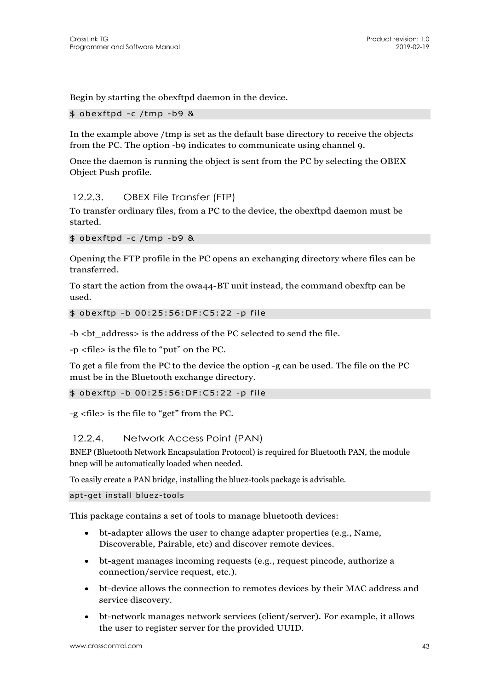Begin by starting the obexftpd daemon in the device.

\$ obexftpd -c /tmp -b9 &

In the example above /tmp is set as the default base directory to receive the objects from the PC. The option -b9 indicates to communicate using channel 9.

Once the daemon is running the object is sent from the PC by selecting the OBEX Object Push profile.

#### 12.2.3. OBEX File Transfer (FTP)

To transfer ordinary files, from a PC to the device, the obexftpd daemon must be started.

```
$ obexftpd -c /tmp -b9 &
```
Opening the FTP profile in the PC opens an exchanging directory where files can be transferred.

To start the action from the owa44-BT unit instead, the command obexftp can be used.

\$ obexftp -b 00:25:56:DF:C5:22 -p file

-b <br address> is the address of the PC selected to send the file.

-p <file> is the file to "put" on the PC.

To get a file from the PC to the device the option -g can be used. The file on the PC must be in the Bluetooth exchange directory.

#### \$ obexftp -b 00:25:56:DF:C5:22 -p file

-g <file> is the file to "get" from the PC.

#### 12.2.4. Network Access Point (PAN)

BNEP (Bluetooth Network Encapsulation Protocol) is required for Bluetooth PAN, the module bnep will be automatically loaded when needed.

To easily create a PAN bridge, installing the bluez-tools package is advisable.

apt-get install bluez-tools

This package contains a set of tools to manage bluetooth devices:

- bt-adapter allows the user to change adapter properties (e.g., Name, Discoverable, Pairable, etc) and discover remote devices.
- bt-agent manages incoming requests (e.g., request pincode, authorize a connection/service request, etc.).
- bt-device allows the connection to remotes devices by their MAC address and service discovery.
- bt-network manages network services (client/server). For example, it allows the user to register server for the provided UUID.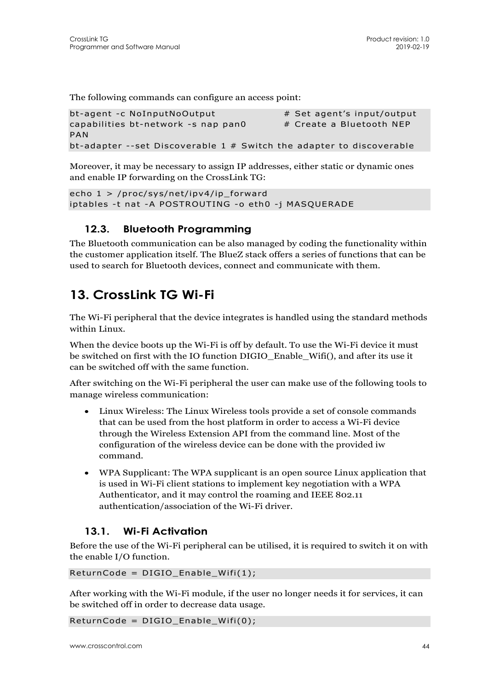The following commands can configure an access point:

```
bt-agent -c NoInputNoOutput # Set agent's input/output
capabilities bt-network -s nap pan0 # Create a Bluetooth NEP 
PAN 
bt-adapter --set Discoverable 1 # Switch the adapter to discoverable
```
Moreover, it may be necessary to assign IP addresses, either static or dynamic ones and enable IP forwarding on the CrossLink TG:

```
echo 1 > /proc/sys/net/ipv4/ip_forward 
iptables -t nat -A POSTROUTING -o eth0 -j MASQUERADE
```
### **12.3. Bluetooth Programming**

The Bluetooth communication can be also managed by coding the functionality within the customer application itself. The BlueZ stack offers a series of functions that can be used to search for Bluetooth devices, connect and communicate with them.

## **13. CrossLink TG Wi-Fi**

The Wi-Fi peripheral that the device integrates is handled using the standard methods within Linux.

When the device boots up the Wi-Fi is off by default. To use the Wi-Fi device it must be switched on first with the IO function DIGIO\_Enable\_Wifi(), and after its use it can be switched off with the same function.

After switching on the Wi-Fi peripheral the user can make use of the following tools to manage wireless communication:

- Linux Wireless: The Linux Wireless tools provide a set of console commands that can be used from the host platform in order to access a Wi-Fi device through the Wireless Extension API from the command line. Most of the configuration of the wireless device can be done with the provided iw command.
- WPA Supplicant: The WPA supplicant is an open source Linux application that is used in Wi-Fi client stations to implement key negotiation with a WPA Authenticator, and it may control the roaming and IEEE 802.11 authentication/association of the Wi-Fi driver.

## **13.1. Wi-Fi Activation**

Before the use of the Wi-Fi peripheral can be utilised, it is required to switch it on with the enable I/O function.

ReturnCode = DIGIO\_Enable\_Wifi(1);

After working with the Wi-Fi module, if the user no longer needs it for services, it can be switched off in order to decrease data usage.

ReturnCode = DIGIO\_Enable\_Wifi(0);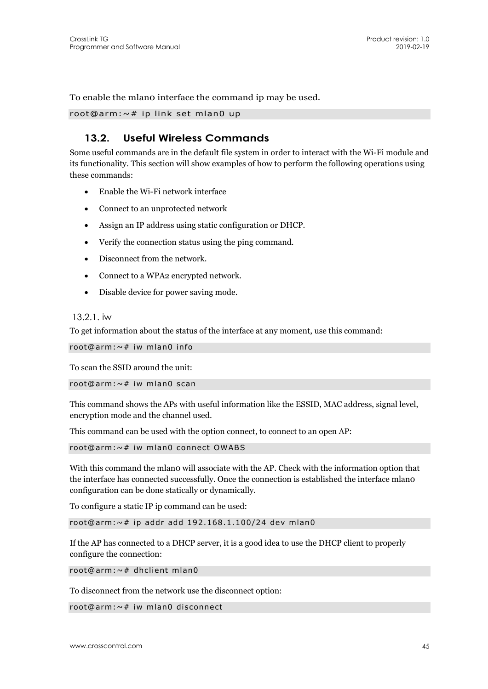To enable the mlano interface the command ip may be used.

root@arm:~# ip link set mlan0 up

### **13.2. Useful Wireless Commands**

Some useful commands are in the default file system in order to interact with the Wi-Fi module and its functionality. This section will show examples of how to perform the following operations using these commands:

- Enable the Wi-Fi network interface
- Connect to an unprotected network
- Assign an IP address using static configuration or DHCP.
- Verify the connection status using the ping command.
- Disconnect from the network.
- Connect to a WPA2 encrypted network.
- Disable device for power saving mode.

#### 13.2.1. iw

To get information about the status of the interface at any moment, use this command:

```
root@arm:~# iw mlan0 info
```
To scan the SSID around the unit:

```
root@arm:~# iw mlan0 scan
```
This command shows the APs with useful information like the ESSID, MAC address, signal level, encryption mode and the channel used.

This command can be used with the option connect, to connect to an open AP:

root@arm:~# iw mlan0 connect OWABS

With this command the mlan0 will associate with the AP. Check with the information option that the interface has connected successfully. Once the connection is established the interface mlan0 configuration can be done statically or dynamically.

To configure a static IP ip command can be used:

```
root@arm:~# ip addr add 192.168.1.100/24 dev mlan0
```
If the AP has connected to a DHCP server, it is a good idea to use the DHCP client to properly configure the connection:

root@arm:~# dhclient mlan0

To disconnect from the network use the disconnect option:

```
root@arm:~# iw mlan0 disconnect
```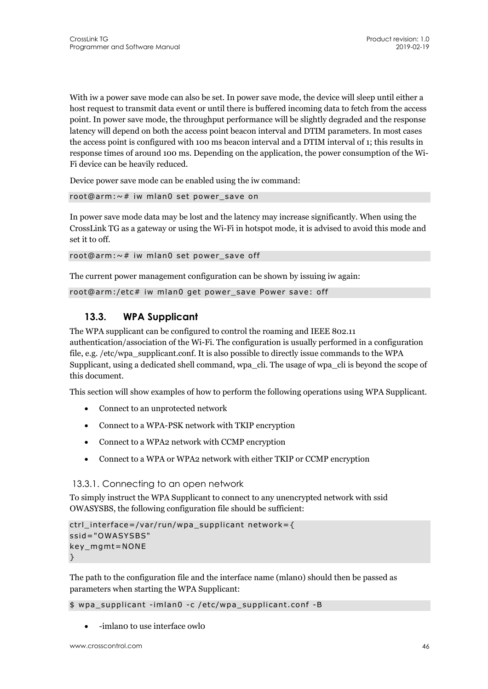With iw a power save mode can also be set. In power save mode, the device will sleep until either a host request to transmit data event or until there is buffered incoming data to fetch from the access point. In power save mode, the throughput performance will be slightly degraded and the response latency will depend on both the access point beacon interval and DTIM parameters. In most cases the access point is configured with 100 ms beacon interval and a DTIM interval of 1; this results in response times of around 100 ms. Depending on the application, the power consumption of the Wi-Fi device can be heavily reduced.

Device power save mode can be enabled using the iw command:

```
root@arm:~# iw mlan0 set power_save on
```
In power save mode data may be lost and the latency may increase significantly. When using the CrossLink TG as a gateway or using the Wi-Fi in hotspot mode, it is advised to avoid this mode and set it to off.

root@arm:~# iw mlan0 set power\_save off

The current power management configuration can be shown by issuing iw again:

```
root@arm:/etc# iw mlan0 get power_save Power save: off
```
## **13.3. WPA Supplicant**

The WPA supplicant can be configured to control the roaming and IEEE 802.11 authentication/association of the Wi-Fi. The configuration is usually performed in a configuration file, e.g. /etc/wpa\_supplicant.conf. It is also possible to directly issue commands to the WPA Supplicant, using a dedicated shell command, wpa\_cli. The usage of wpa\_cli is beyond the scope of this document.

This section will show examples of how to perform the following operations using WPA Supplicant.

- Connect to an unprotected network
- Connect to a WPA-PSK network with TKIP encryption
- Connect to a WPA2 network with CCMP encryption
- Connect to a WPA or WPA2 network with either TKIP or CCMP encryption

#### 13.3.1. Connecting to an open network

To simply instruct the WPA Supplicant to connect to any unencrypted network with ssid OWASYSBS, the following configuration file should be sufficient:

```
ctrl_interface=/var/run/wpa_supplicant network={ 
ssid="OWASYSBS" 
key_mgmt=NONE 
}
```
The path to the configuration file and the interface name (mlan0) should then be passed as parameters when starting the WPA Supplicant:

#### \$ wpa\_supplicant -imlan0 -c /etc/wpa\_supplicant.conf -B

-imlan0 to use interface owl0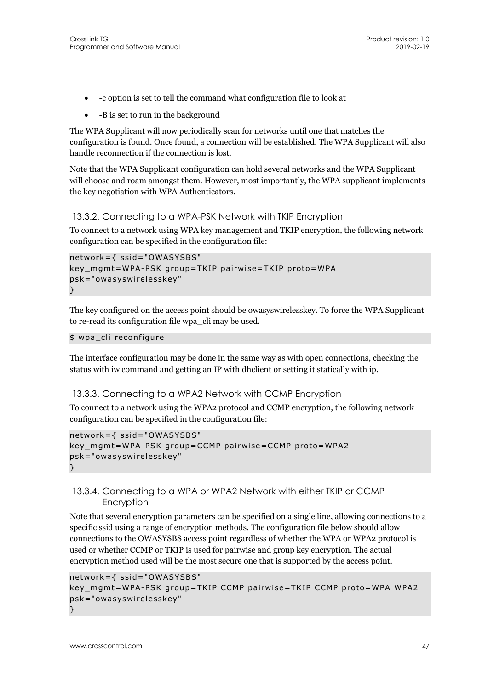- -c option is set to tell the command what configuration file to look at
- $\bullet$  -B is set to run in the background

The WPA Supplicant will now periodically scan for networks until one that matches the configuration is found. Once found, a connection will be established. The WPA Supplicant will also handle reconnection if the connection is lost.

Note that the WPA Supplicant configuration can hold several networks and the WPA Supplicant will choose and roam amongst them. However, most importantly, the WPA supplicant implements the key negotiation with WPA Authenticators.

#### 13.3.2. Connecting to a WPA-PSK Network with TKIP Encryption

To connect to a network using WPA key management and TKIP encryption, the following network configuration can be specified in the configuration file:

```
network={ ssid="OWASYSBS" 
key_mgmt=WPA-PSK group=TKIP pairwise=TKIP proto=WPA 
psk="owasyswirelesskey" 
}
```
The key configured on the access point should be owasyswirelesskey. To force the WPA Supplicant to re-read its configuration file wpa\_cli may be used.

```
$ wpa cli reconfigure
```
The interface configuration may be done in the same way as with open connections, checking the status with iw command and getting an IP with dhclient or setting it statically with ip.

#### 13.3.3. Connecting to a WPA2 Network with CCMP Encryption

To connect to a network using the WPA2 protocol and CCMP encryption, the following network configuration can be specified in the configuration file:

```
network={ ssid="OWASYSBS" 
key_mgmt=WPA-PSK group=CCMP pairwise=CCMP proto=WPA2 
psk="owasyswirelesskey" 
}
```
#### 13.3.4. Connecting to a WPA or WPA2 Network with either TKIP or CCMP Encryption

Note that several encryption parameters can be specified on a single line, allowing connections to a specific ssid using a range of encryption methods. The configuration file below should allow connections to the OWASYSBS access point regardless of whether the WPA or WPA2 protocol is used or whether CCMP or TKIP is used for pairwise and group key encryption. The actual encryption method used will be the most secure one that is supported by the access point.

```
network={ ssid="OWASYSBS" 
key_mgmt=WPA-PSK group=TKIP CCMP pairwise=TKIP CCMP proto=WPA WPA2 
psk="owasyswirelesskey" 
}
```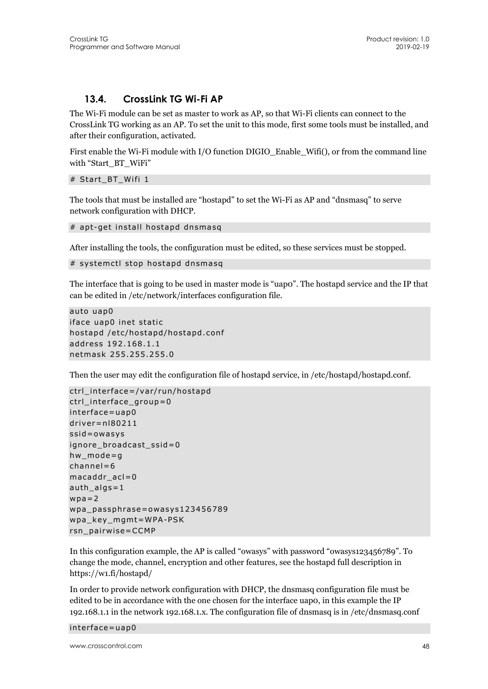#### **13.4. CrossLink TG Wi-Fi AP**

The Wi-Fi module can be set as master to work as AP, so that Wi-Fi clients can connect to the CrossLink TG working as an AP. To set the unit to this mode, first some tools must be installed, and after their configuration, activated.

First enable the Wi-Fi module with I/O function DIGIO\_Enable\_Wifi(), or from the command line with "Start\_BT\_WiFi"

#### # Start\_BT\_Wifi 1

The tools that must be installed are "hostapd" to set the Wi-Fi as AP and "dnsmasq" to serve network configuration with DHCP.

```
# apt-get install hostapd dnsmasq
```
After installing the tools, the configuration must be edited, so these services must be stopped.

```
# systemctl stop hostapd dnsmasq
```
The interface that is going to be used in master mode is "uap0". The hostapd service and the IP that can be edited in /etc/network/interfaces configuration file.

```
auto uap0 
iface uap0 inet static 
hostapd /etc/hostapd/hostapd.conf 
address 192.168.1.1 
netmask 255.255.255.0
```
Then the user may edit the configuration file of hostapd service, in /etc/hostapd/hostapd.conf.

```
ctrl_interface=/var/run/hostapd 
ctrl_interface_group=0 
interface=uap0 
driver=nl80211 
ssid=owasys 
ignore broadcast ssid=0
hw mode=g
channel=6 
macaddr_acl=0 
auth_algs=1 
wpa=2wpa_passphrase=owasys123456789 
wpa_key_mgmt=WPA-PSK 
rsn_pairwise=CCMP
```
In this configuration example, the AP is called "owasys" with password "owasys123456789". To change the mode, channel, encryption and other features, see the hostapd full description in https://w1.fi/hostapd/

In order to provide network configuration with DHCP, the dnsmasq configuration file must be edited to be in accordance with the one chosen for the interface uap0, in this example the IP 192.168.1.1 in the network 192.168.1.x. The configuration file of dnsmasq is in /etc/dnsmasq.conf

interface=uap0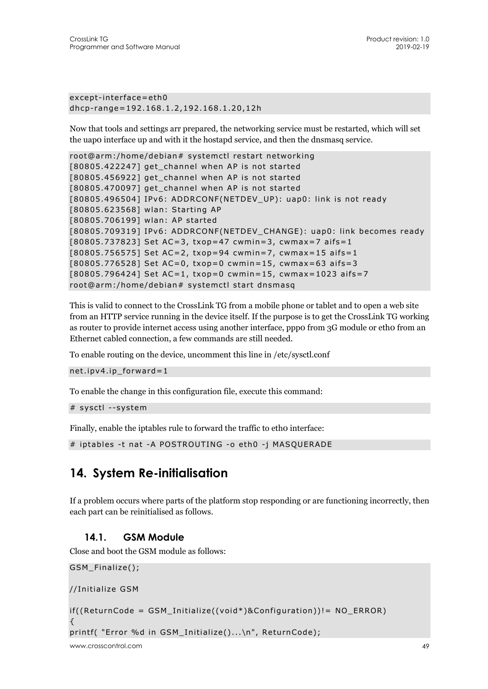except-interface=eth0 dhcp-range=192.168.1.2,192.168.1.20,12h

Now that tools and settings arr prepared, the networking service must be restarted, which will set the uap0 interface up and with it the hostapd service, and then the dnsmasq service.

```
root@arm:/home/debian# systemctl restart networking 
[80805.422247] get_channel when AP is not started 
[80805.456922] get_channel when AP is not started 
[80805.470097] get_channel when AP is not started 
[80805.496504] IPv6: ADDRCONF(NETDEV_UP): uap0: link is not ready 
[80805.623568] wlan: Starting AP 
[80805.706199] wlan: AP started 
[80805.709319] IPv6: ADDRCONF(NETDEV_CHANGE): uap0: link becomes ready 
[80805.737823] Set AC=3, txop=47 cwmin=3, cwmax=7 aifs=1 
[80805.756575] Set AC=2, txop=94 cwmin=7, cwmax=15 aifs=1 
[80805.776528] Set AC=0, txop=0 cwmin=15, cwmax=63 aifs=3 
[80805.796424] Set AC=1, txop=0 cwmin=15, cwmax=1023 aifs=7 
root@arm:/home/debian# systemctl start dnsmasq
```
This is valid to connect to the CrossLink TG from a mobile phone or tablet and to open a web site from an HTTP service running in the device itself. If the purpose is to get the CrossLink TG working as router to provide internet access using another interface, ppp0 from 3G module or eth0 from an Ethernet cabled connection, a few commands are still needed.

To enable routing on the device, uncomment this line in /etc/sysctl.conf

net.ipv4.ip\_forward=1

To enable the change in this configuration file, execute this command:

```
# sysctl --system
```
Finally, enable the iptables rule to forward the traffic to etho interface:

```
# iptables -t nat -A POSTROUTING -o eth0 -j MASQUERADE
```
## **14. System Re-initialisation**

If a problem occurs where parts of the platform stop responding or are functioning incorrectly, then each part can be reinitialised as follows.

### **14.1. GSM Module**

Close and boot the GSM module as follows:

```
GSM_Finalize(); 
//Initialize GSM 
if((ReturnCode = GSM_Initialize((void*)&Configuration))!= NO_ERROR) 
{ 
printf( "Error %d in GSM_Initialize()...\n", ReturnCode);
```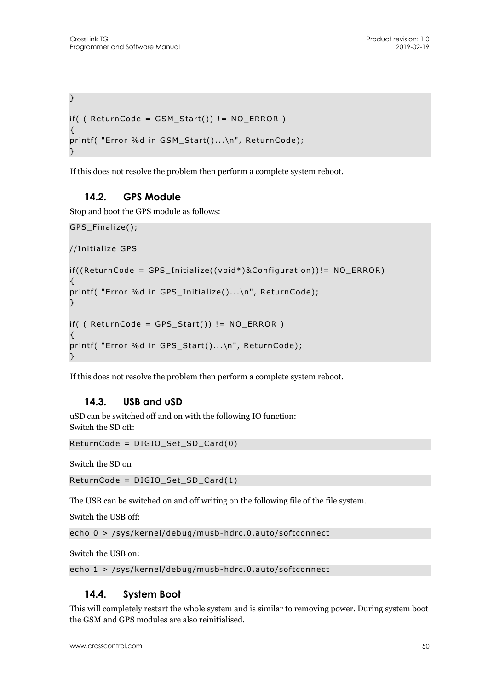```
} 
if( ( ReturnCode = GSM\_Start() ) != NO ERROR )
{ 
printf( "Error %d in GSM Start()...\n", ReturnCode);
}
```
If this does not resolve the problem then perform a complete system reboot.

## **14.2. GPS Module**

Stop and boot the GPS module as follows:

```
GPS_Finalize(); 
//Initialize GPS 
if((ReturnCode = GPS_Initialize((void*)&Configuration))!= NO_ERROR) 
{ 
printf( "Error %d in GPS_Initialize()...\n", ReturnCode); 
} 
if( ( ReturnCode = GPS_Start()) != NO_ERROR ) 
{ 
printf( "Error %d in GPS_Start()...\n", ReturnCode); 
}
```
If this does not resolve the problem then perform a complete system reboot.

### **14.3. USB and uSD**

uSD can be switched off and on with the following IO function: Switch the SD off:

```
ReturnCode = DIGIO_Set_SD_Card(0)
```
Switch the SD on

ReturnCode = DIGIO\_Set\_SD\_Card(1)

The USB can be switched on and off writing on the following file of the file system.

Switch the USB off:

echo 0 > /sys/kernel/debug/musb-hdrc.0.auto/softconnect

Switch the USB on:

echo 1 > /sys/kernel/debug/musb-hdrc.0.auto/softconnect

### **14.4. System Boot**

This will completely restart the whole system and is similar to removing power. During system boot the GSM and GPS modules are also reinitialised.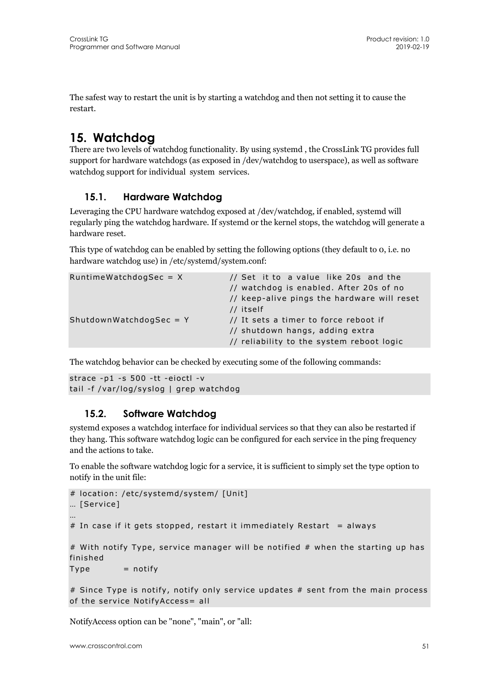The safest way to restart the unit is by starting a watchdog and then not setting it to cause the restart.

## **15. Watchdog**

There are two levels of watchdog functionality. By using systemd , the CrossLink TG provides full support for hardware watchdogs (as exposed in /dev/watchdog to userspace), as well as software watchdog support for individual system services.

## **15.1. Hardware Watchdog**

Leveraging the CPU hardware watchdog exposed at /dev/watchdog, if enabled, systemd will regularly ping the watchdog hardware. If systemd or the kernel stops, the watchdog will generate a hardware reset.

This type of watchdog can be enabled by setting the following options (they default to 0, i.e. no hardware watchdog use) in /etc/systemd/system.conf:

| $RuntimeWatchdogSec = X$  | // Set it to a value like 20s and the       |
|---------------------------|---------------------------------------------|
|                           | // watchdog is enabled. After 20s of no     |
|                           | // keep-alive pings the hardware will reset |
|                           | // itself                                   |
| $ShutdownWatchdogSec = Y$ | // It sets a timer to force reboot if       |
|                           | // shutdown hangs, adding extra             |
|                           | // reliability to the system reboot logic   |

The watchdog behavior can be checked by executing some of the following commands:

```
strace -p1 -s 500 -tt -eioctl -v 
tail -f /var/log/syslog | grep watchdog
```
### **15.2. Software Watchdog**

systemd exposes a watchdog interface for individual services so that they can also be restarted if they hang. This software watchdog logic can be configured for each service in the ping frequency and the actions to take.

To enable the software watchdog logic for a service, it is sufficient to simply set the type option to notify in the unit file:

```
# location: /etc/systemd/system/ [Unit] 
… [Service] 
… 
# In case if it gets stopped, restart it immediately Restart = always
# With notify Type, service manager will be notified # when the starting up has 
finished 
Type = notify
```
# Since Type is notify, notify only service updates # sent from the main process of the service NotifyAccess= all

NotifyAccess option can be "none", "main", or "all: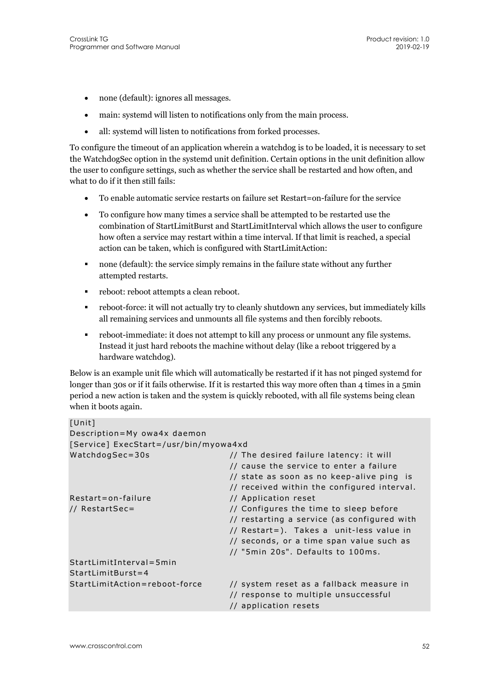- none (default): ignores all messages.
- main: systemd will listen to notifications only from the main process.
- all: systemd will listen to notifications from forked processes.

To configure the timeout of an application wherein a watchdog is to be loaded, it is necessary to set the WatchdogSec option in the systemd unit definition. Certain options in the unit definition allow the user to configure settings, such as whether the service shall be restarted and how often, and what to do if it then still fails:

- To enable automatic service restarts on failure set Restart=on-failure for the service
- To configure how many times a service shall be attempted to be restarted use the combination of StartLimitBurst and StartLimitInterval which allows the user to configure how often a service may restart within a time interval. If that limit is reached, a special action can be taken, which is configured with StartLimitAction:
- none (default): the service simply remains in the failure state without any further attempted restarts.
- **reboot:** reboot attempts a clean reboot.
- reboot-force: it will not actually try to cleanly shutdown any services, but immediately kills all remaining services and unmounts all file systems and then forcibly reboots.
- reboot-immediate: it does not attempt to kill any process or unmount any file systems. Instead it just hard reboots the machine without delay (like a reboot triggered by a hardware watchdog).

Below is an example unit file which will automatically be restarted if it has not pinged systemd for longer than 30s or if it fails otherwise. If it is restarted this way more often than 4 times in a 5min period a new action is taken and the system is quickly rebooted, with all file systems being clean when it boots again.

| [Unit]                                |                                             |
|---------------------------------------|---------------------------------------------|
| Description=My owa4x daemon           |                                             |
| [Service] ExecStart=/usr/bin/myowa4xd |                                             |
| WatchdogSec=30s                       | // The desired failure latency: it will     |
|                                       | // cause the service to enter a failure     |
|                                       | // state as soon as no keep-alive ping is   |
|                                       | // received within the configured interval. |
| Restart=on-failure                    | // Application reset                        |
| // RestartSec=                        | // Configures the time to sleep before      |
|                                       | // restarting a service (as configured with |
|                                       | // Restart=). Takes a unit-less value in    |
|                                       | // seconds, or a time span value such as    |
|                                       | // "5min 20s". Defaults to 100ms.           |
| StartLimitInterval=5min               |                                             |
| $StartLimitBurst = 4$                 |                                             |
| StartLimitAction=reboot-force         | // system reset as a fallback measure in    |
|                                       | // response to multiple unsuccessful        |
|                                       | // application resets                       |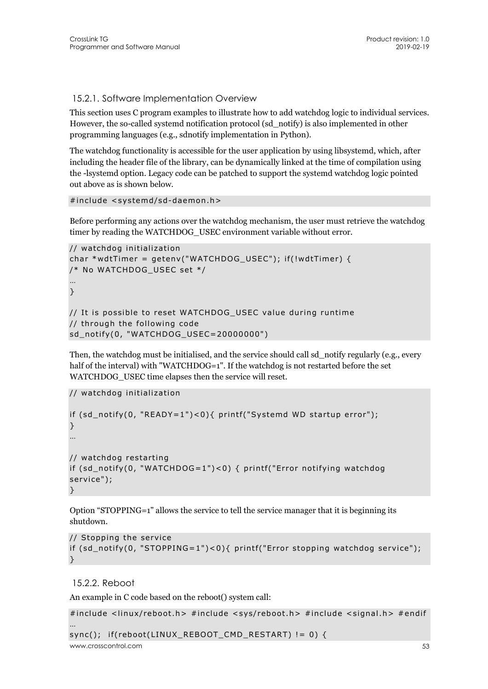15.2.1. Software Implementation Overview

This section uses C program examples to illustrate how to add watchdog logic to individual services. However, the so-called systemd notification protocol (sd\_notify) is also implemented in other programming languages (e.g., sdnotify implementation in Python).

The watchdog functionality is accessible for the user application by using libsystemd, which, after including the header file of the library, can be dynamically linked at the time of compilation using the -lsystemd option. Legacy code can be patched to support the systemd watchdog logic pointed out above as is shown below.

```
#include <systemd/sd-daemon.h>
```
Before performing any actions over the watchdog mechanism, the user must retrieve the watchdog timer by reading the WATCHDOG\_USEC environment variable without error.

```
// watchdog initialization 
char *wdtTimer = qetenv("WATCHDOG USEC"); if(!wdtTimer) {
/* No WATCHDOG_USEC set */ 
… 
} 
// It is possible to reset WATCHDOG_USEC value during runtime 
// through the following code 
sd_notify(0, "WATCHDOG_USEC=20000000")
```
Then, the watchdog must be initialised, and the service should call sd\_notify regularly (e.g., every half of the interval) with "WATCHDOG=1". If the watchdog is not restarted before the set WATCHDOG\_USEC time elapses then the service will reset.

```
// watchdog initialization
```

```
if (sd_notify(0, "READY=1")<0){ printf("Systemd WD startup error"); 
} 
… 
// watchdog restarting 
if (sd_notify(0, "WATCHDOG=1")<0) { printf("Error notifying watchdog 
service"); 
}
```
Option "STOPPING=1" allows the service to tell the service manager that it is beginning its shutdown.

```
// Stopping the service 
if (sd_notify(0, "STOPPING=1")<0){ printf("Error stopping watchdog service"); 
}
```
## 15.2.2. Reboot

An example in C code based on the reboot() system call:

```
www.crosscontrol.com 53
#include <linux/reboot.h> #include <sys/reboot.h> #include <signal.h> #endif 
… 
sync(); if(reboot(LINUX_REBOOT_CMD_RESTART) != 0) {
```